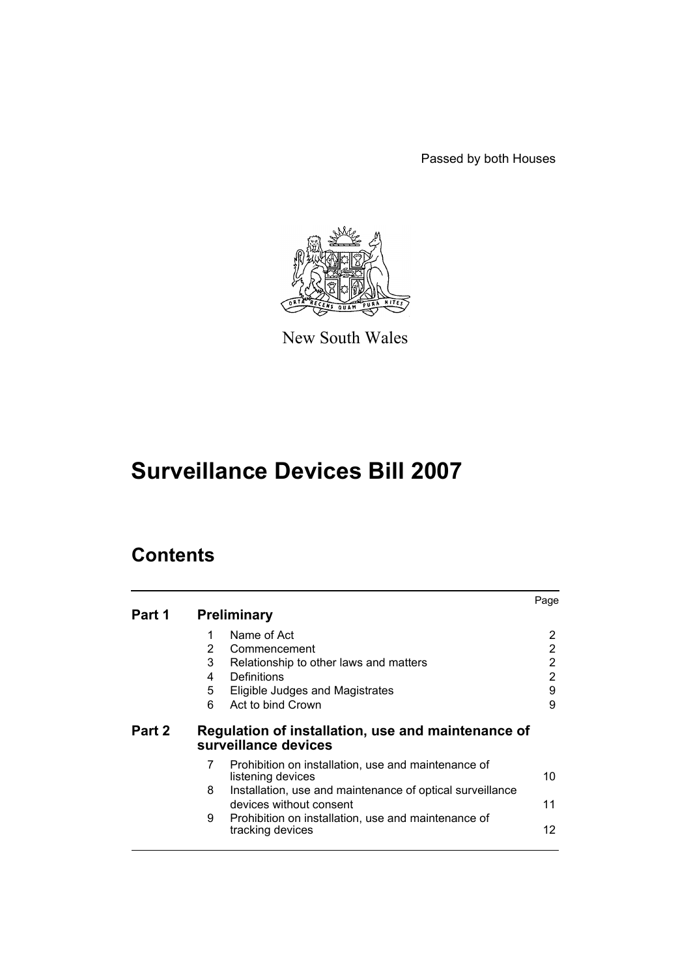Passed by both Houses



New South Wales

# **Surveillance Devices Bill 2007**

# **Contents**

|        |   |                                                                                      | Page |
|--------|---|--------------------------------------------------------------------------------------|------|
| Part 1 |   | <b>Preliminary</b>                                                                   |      |
|        | 1 | Name of Act                                                                          | 2    |
|        | 2 | Commencement                                                                         | 2    |
|        | 3 | Relationship to other laws and matters                                               | 2    |
|        | 4 | Definitions                                                                          | 2    |
|        | 5 | Eligible Judges and Magistrates                                                      | 9    |
|        | 6 | Act to bind Crown                                                                    | 9    |
| Part 2 |   | Regulation of installation, use and maintenance of<br>surveillance devices           |      |
|        | 7 | Prohibition on installation, use and maintenance of<br>listening devices             | 10   |
|        | 8 | Installation, use and maintenance of optical surveillance<br>devices without consent | 11   |
|        | 9 | Prohibition on installation, use and maintenance of<br>tracking devices              | 12   |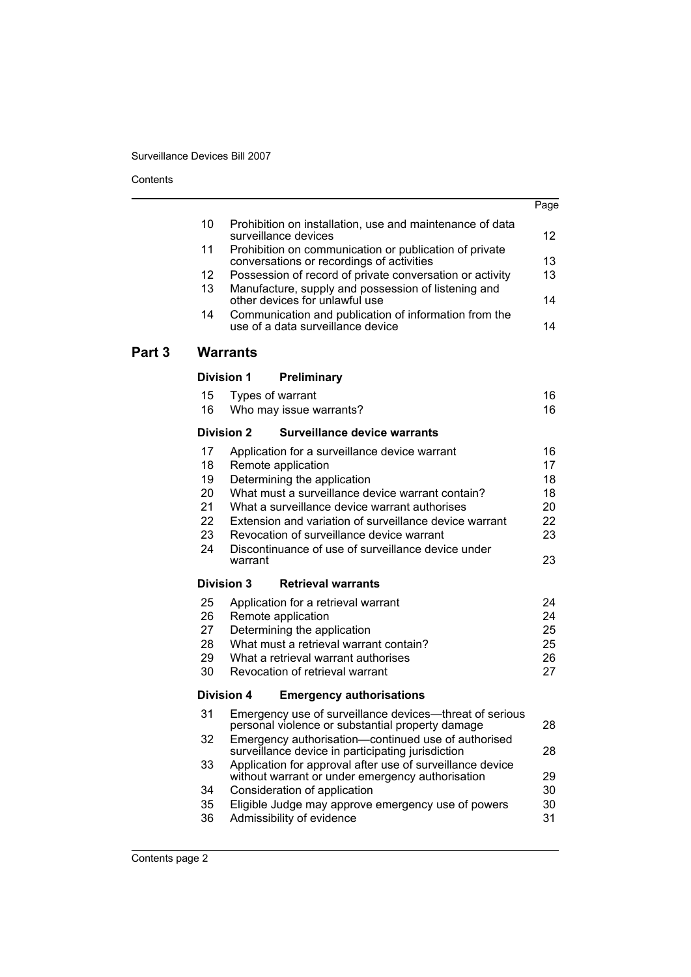| Contents |  |
|----------|--|
|----------|--|

|        |          |                                                                                                                | Page     |
|--------|----------|----------------------------------------------------------------------------------------------------------------|----------|
|        | 10       | Prohibition on installation, use and maintenance of data<br>surveillance devices                               | 12       |
|        | 11       | Prohibition on communication or publication of private<br>conversations or recordings of activities            | 13       |
|        | 12       | Possession of record of private conversation or activity                                                       | 13       |
|        | 13       | Manufacture, supply and possession of listening and<br>other devices for unlawful use                          | 14       |
|        | 14       | Communication and publication of information from the<br>use of a data surveillance device                     | 14       |
| Part 3 |          | <b>Warrants</b>                                                                                                |          |
|        |          | <b>Division 1</b><br>Preliminary                                                                               |          |
|        | 15       | Types of warrant                                                                                               | 16       |
|        | 16       | Who may issue warrants?                                                                                        | 16       |
|        |          | <b>Division 2</b><br><b>Surveillance device warrants</b>                                                       |          |
|        | 17       | Application for a surveillance device warrant                                                                  | 16       |
|        | 18       | Remote application                                                                                             | 17       |
|        | 19<br>20 | Determining the application<br>What must a surveillance device warrant contain?                                | 18<br>18 |
|        | 21       | What a surveillance device warrant authorises                                                                  | 20       |
|        | 22       | Extension and variation of surveillance device warrant                                                         | 22       |
|        | 23       | Revocation of surveillance device warrant                                                                      | 23       |
|        | 24       | Discontinuance of use of surveillance device under<br>warrant                                                  | 23       |
|        |          | <b>Division 3</b><br><b>Retrieval warrants</b>                                                                 |          |
|        | 25       | Application for a retrieval warrant                                                                            | 24       |
|        | 26       | Remote application                                                                                             | 24       |
|        | 27       | Determining the application                                                                                    | 25       |
|        | 28       | What must a retrieval warrant contain?                                                                         | 25       |
|        | 29       | What a retrieval warrant authorises                                                                            | 26       |
|        | 30       | Revocation of retrieval warrant                                                                                | 27       |
|        |          | <b>Division 4</b><br><b>Emergency authorisations</b>                                                           |          |
|        |          | 31 Emergency use of surveillance devices-threat of serious<br>personal violence or substantial property damage | 28       |
|        | 32       | Emergency authorisation-continued use of authorised<br>surveillance device in participating jurisdiction       | 28       |
|        | 33       | Application for approval after use of surveillance device<br>without warrant or under emergency authorisation  | 29       |
|        | 34       | Consideration of application                                                                                   | 30       |
|        | 35<br>36 | Eligible Judge may approve emergency use of powers<br>Admissibility of evidence                                | 30<br>31 |
|        |          |                                                                                                                |          |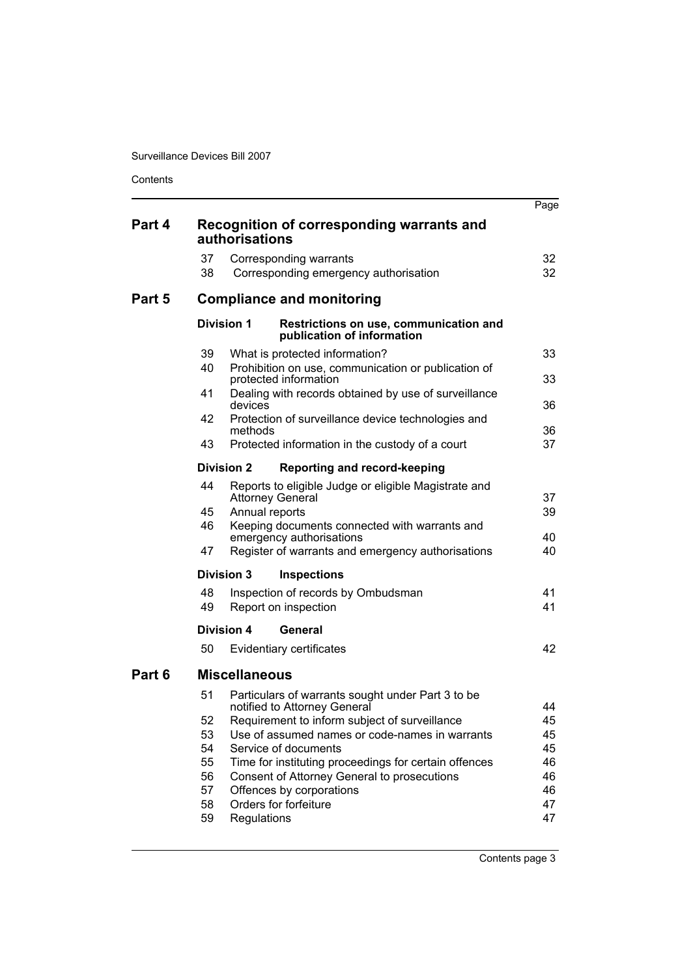Contents

|        |                                                             |                   |                                                                                                                                                                                                                                                                                      | Page                                         |  |  |
|--------|-------------------------------------------------------------|-------------------|--------------------------------------------------------------------------------------------------------------------------------------------------------------------------------------------------------------------------------------------------------------------------------------|----------------------------------------------|--|--|
| Part 4 | Recognition of corresponding warrants and<br>authorisations |                   |                                                                                                                                                                                                                                                                                      |                                              |  |  |
|        | 37<br>38                                                    |                   | Corresponding warrants<br>Corresponding emergency authorisation                                                                                                                                                                                                                      | 32<br>32                                     |  |  |
| Part 5 |                                                             |                   | <b>Compliance and monitoring</b>                                                                                                                                                                                                                                                     |                                              |  |  |
|        |                                                             | <b>Division 1</b> | Restrictions on use, communication and<br>publication of information                                                                                                                                                                                                                 |                                              |  |  |
|        | 39<br>40                                                    |                   | What is protected information?<br>Prohibition on use, communication or publication of<br>protected information                                                                                                                                                                       | 33<br>33                                     |  |  |
|        | 41                                                          | devices           | Dealing with records obtained by use of surveillance                                                                                                                                                                                                                                 | 36                                           |  |  |
|        | 42                                                          | methods           | Protection of surveillance device technologies and                                                                                                                                                                                                                                   | 36                                           |  |  |
|        | 43                                                          |                   | Protected information in the custody of a court                                                                                                                                                                                                                                      | 37                                           |  |  |
|        |                                                             | <b>Division 2</b> | <b>Reporting and record-keeping</b>                                                                                                                                                                                                                                                  |                                              |  |  |
|        | 44                                                          |                   | Reports to eligible Judge or eligible Magistrate and<br><b>Attorney General</b>                                                                                                                                                                                                      | 37                                           |  |  |
|        | 45<br>46                                                    | Annual reports    | Keeping documents connected with warrants and<br>emergency authorisations                                                                                                                                                                                                            | 39<br>40                                     |  |  |
|        | 47                                                          |                   | Register of warrants and emergency authorisations                                                                                                                                                                                                                                    | 40                                           |  |  |
|        |                                                             | <b>Division 3</b> | <b>Inspections</b>                                                                                                                                                                                                                                                                   |                                              |  |  |
|        | 48<br>49                                                    |                   | Inspection of records by Ombudsman<br>Report on inspection                                                                                                                                                                                                                           | 41<br>41                                     |  |  |
|        |                                                             | <b>Division 4</b> | General                                                                                                                                                                                                                                                                              |                                              |  |  |
|        | 50                                                          |                   | Evidentiary certificates                                                                                                                                                                                                                                                             | 42                                           |  |  |
| Part 6 | <b>Miscellaneous</b>                                        |                   |                                                                                                                                                                                                                                                                                      |                                              |  |  |
|        | 51                                                          |                   | Particulars of warrants sought under Part 3 to be<br>notified to Attorney General                                                                                                                                                                                                    | 44                                           |  |  |
|        | 52<br>53<br>54<br>55<br>56<br>57<br>58<br>59                | Regulations       | Requirement to inform subject of surveillance<br>Use of assumed names or code-names in warrants<br>Service of documents<br>Time for instituting proceedings for certain offences<br>Consent of Attorney General to prosecutions<br>Offences by corporations<br>Orders for forfeiture | 45<br>45<br>45<br>46<br>46<br>46<br>47<br>47 |  |  |
|        |                                                             |                   |                                                                                                                                                                                                                                                                                      |                                              |  |  |

Contents page 3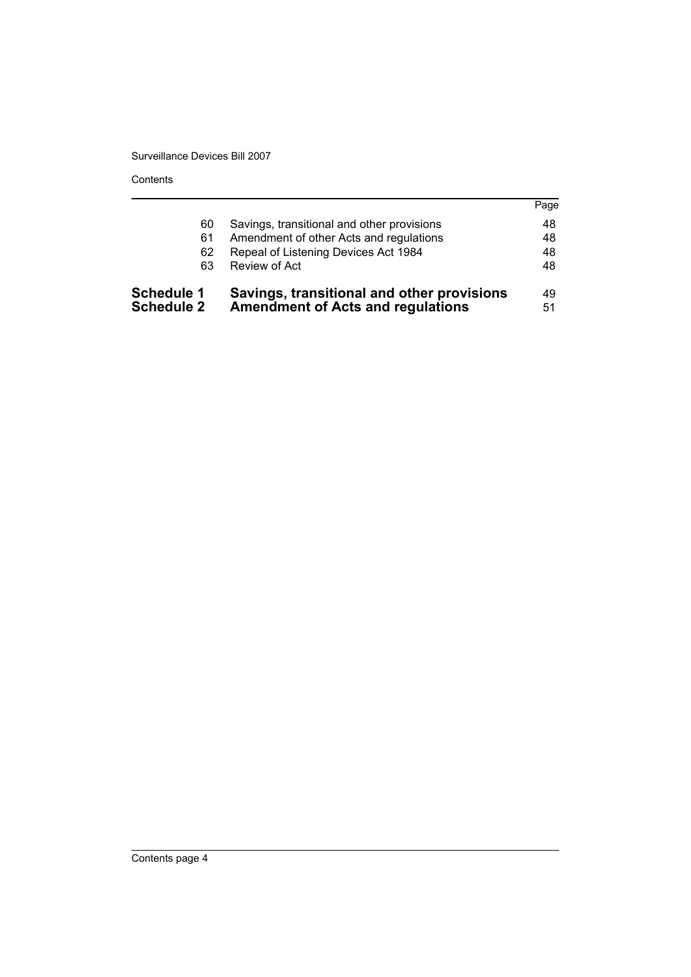Contents

| <b>Schedule 1</b><br><b>Schedule 2</b> | Savings, transitional and other provisions<br><b>Amendment of Acts and regulations</b> | 49<br>51 |
|----------------------------------------|----------------------------------------------------------------------------------------|----------|
| 63                                     | Review of Act                                                                          | 48       |
| 62                                     | Repeal of Listening Devices Act 1984                                                   | 48       |
| 61                                     | Amendment of other Acts and regulations                                                | 48       |
| 60                                     | Savings, transitional and other provisions                                             | 48       |
|                                        |                                                                                        | Page     |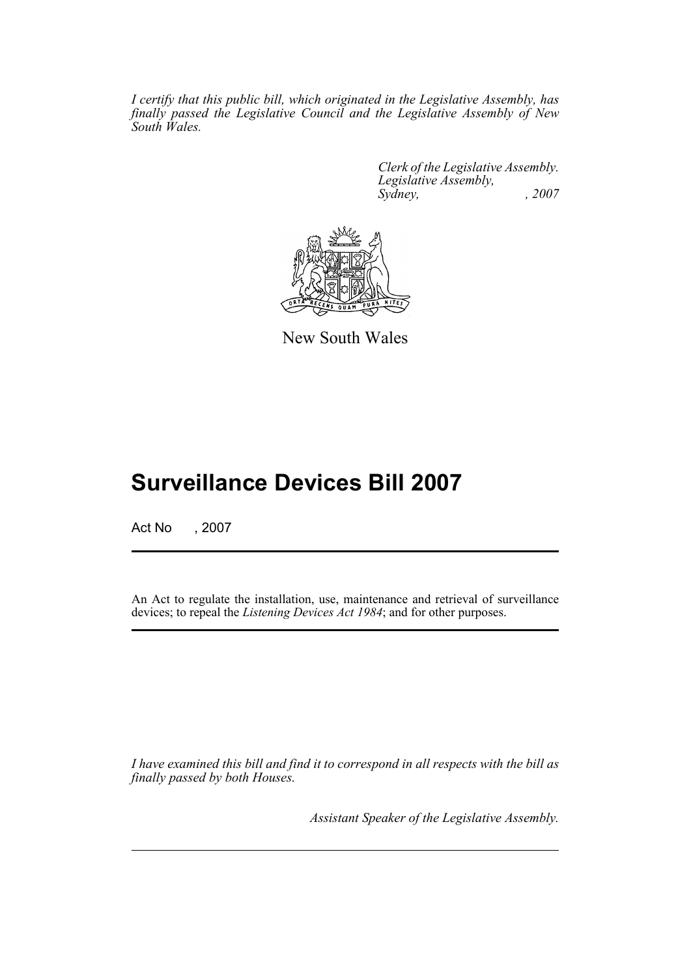*I certify that this public bill, which originated in the Legislative Assembly, has finally passed the Legislative Council and the Legislative Assembly of New South Wales.*

> *Clerk of the Legislative Assembly. Legislative Assembly, Sydney, , 2007*



New South Wales

# **Surveillance Devices Bill 2007**

Act No , 2007

An Act to regulate the installation, use, maintenance and retrieval of surveillance devices; to repeal the *Listening Devices Act 1984*; and for other purposes.

*I have examined this bill and find it to correspond in all respects with the bill as finally passed by both Houses.*

*Assistant Speaker of the Legislative Assembly.*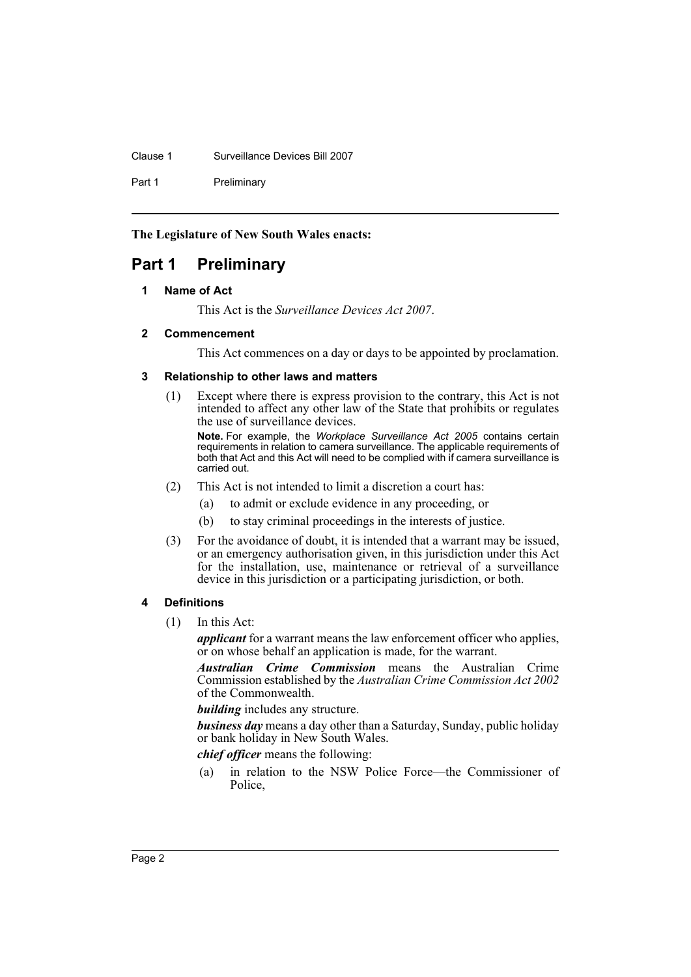Clause 1 Surveillance Devices Bill 2007

Part 1 Preliminary

**The Legislature of New South Wales enacts:**

# <span id="page-5-1"></span><span id="page-5-0"></span>**Part 1 Preliminary**

# **1 Name of Act**

This Act is the *Surveillance Devices Act 2007*.

# <span id="page-5-2"></span>**2 Commencement**

This Act commences on a day or days to be appointed by proclamation.

# <span id="page-5-3"></span>**3 Relationship to other laws and matters**

(1) Except where there is express provision to the contrary, this Act is not intended to affect any other law of the State that prohibits or regulates the use of surveillance devices.

**Note.** For example, the *Workplace Surveillance Act 2005* contains certain requirements in relation to camera surveillance. The applicable requirements of both that Act and this Act will need to be complied with if camera surveillance is carried out.

- (2) This Act is not intended to limit a discretion a court has:
	- (a) to admit or exclude evidence in any proceeding, or
	- (b) to stay criminal proceedings in the interests of justice.
- (3) For the avoidance of doubt, it is intended that a warrant may be issued, or an emergency authorisation given, in this jurisdiction under this Act for the installation, use, maintenance or retrieval of a surveillance device in this jurisdiction or a participating jurisdiction, or both.

# <span id="page-5-4"></span>**4 Definitions**

(1) In this Act:

*applicant* for a warrant means the law enforcement officer who applies, or on whose behalf an application is made, for the warrant.

*Australian Crime Commission* means the Australian Crime Commission established by the *Australian Crime Commission Act 2002* of the Commonwealth.

*building* includes any structure.

*business day* means a day other than a Saturday, Sunday, public holiday or bank holiday in New South Wales.

*chief officer* means the following:

(a) in relation to the NSW Police Force—the Commissioner of Police,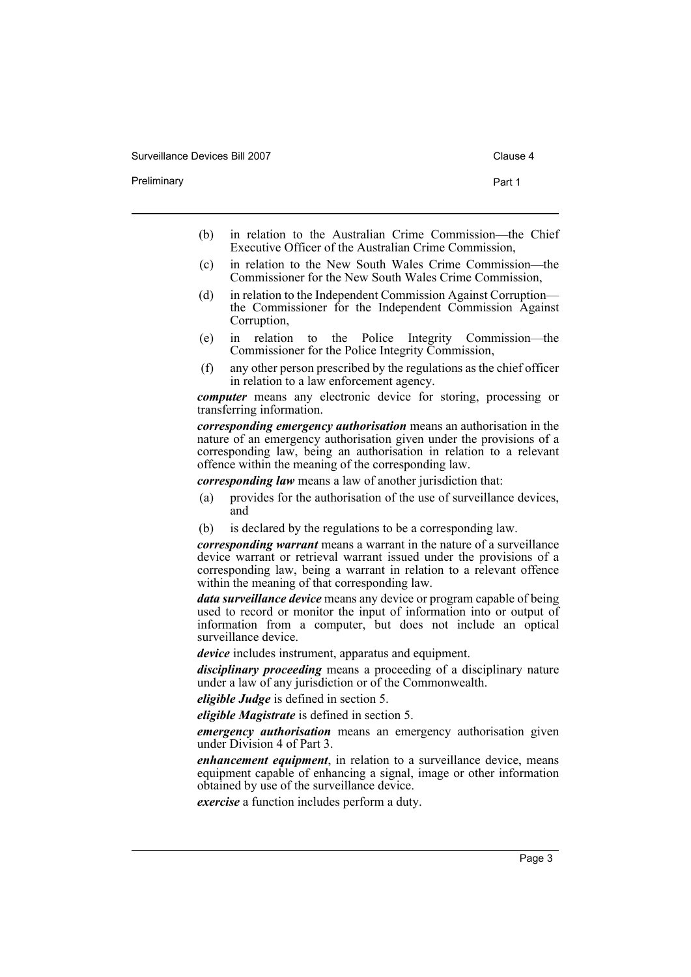Preliminary **Preliminary Part 1** 

- 
- (b) in relation to the Australian Crime Commission—the Chief Executive Officer of the Australian Crime Commission,
- (c) in relation to the New South Wales Crime Commission—the Commissioner for the New South Wales Crime Commission,
- (d) in relation to the Independent Commission Against Corruption the Commissioner for the Independent Commission Against Corruption,
- (e) in relation to the Police Integrity Commission—the Commissioner for the Police Integrity Commission,
- (f) any other person prescribed by the regulations as the chief officer in relation to a law enforcement agency.

*computer* means any electronic device for storing, processing or transferring information.

*corresponding emergency authorisation* means an authorisation in the nature of an emergency authorisation given under the provisions of a corresponding law, being an authorisation in relation to a relevant offence within the meaning of the corresponding law.

*corresponding law* means a law of another jurisdiction that:

- (a) provides for the authorisation of the use of surveillance devices, and
- (b) is declared by the regulations to be a corresponding law.

*corresponding warrant* means a warrant in the nature of a surveillance device warrant or retrieval warrant issued under the provisions of a corresponding law, being a warrant in relation to a relevant offence within the meaning of that corresponding law.

*data surveillance device* means any device or program capable of being used to record or monitor the input of information into or output of information from a computer, but does not include an optical surveillance device.

*device* includes instrument, apparatus and equipment.

*disciplinary proceeding* means a proceeding of a disciplinary nature under a law of any jurisdiction or of the Commonwealth.

*eligible Judge* is defined in section 5.

*eligible Magistrate* is defined in section 5.

*emergency authorisation* means an emergency authorisation given under Division 4 of Part 3.

*enhancement equipment*, in relation to a surveillance device, means equipment capable of enhancing a signal, image or other information obtained by use of the surveillance device.

*exercise* a function includes perform a duty.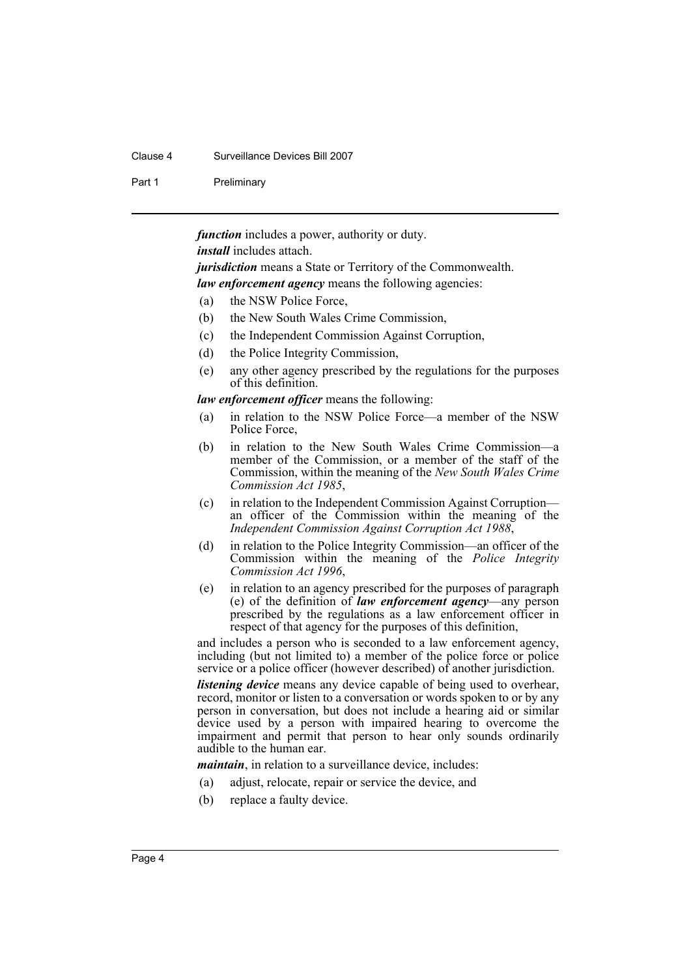#### Clause 4 Surveillance Devices Bill 2007

#### Part 1 Preliminary

*function* includes a power, authority or duty.

*install* includes attach.

*jurisdiction* means a State or Territory of the Commonwealth. *law enforcement agency* means the following agencies:

- (a) the NSW Police Force,
- (b) the New South Wales Crime Commission,
- (c) the Independent Commission Against Corruption,
- (d) the Police Integrity Commission,
- (e) any other agency prescribed by the regulations for the purposes of this definition.

#### *law enforcement officer* means the following:

- (a) in relation to the NSW Police Force—a member of the NSW Police Force,
- (b) in relation to the New South Wales Crime Commission—a member of the Commission, or a member of the staff of the Commission, within the meaning of the *New South Wales Crime Commission Act 1985*,
- (c) in relation to the Independent Commission Against Corruption an officer of the Commission within the meaning of the *Independent Commission Against Corruption Act 1988*,
- (d) in relation to the Police Integrity Commission—an officer of the Commission within the meaning of the *Police Integrity Commission Act 1996*,
- (e) in relation to an agency prescribed for the purposes of paragraph (e) of the definition of *law enforcement agency*—any person prescribed by the regulations as a law enforcement officer in respect of that agency for the purposes of this definition,

and includes a person who is seconded to a law enforcement agency, including (but not limited to) a member of the police force or police service or a police officer (however described) of another jurisdiction.

*listening device* means any device capable of being used to overhear, record, monitor or listen to a conversation or words spoken to or by any person in conversation, but does not include a hearing aid or similar device used by a person with impaired hearing to overcome the impairment and permit that person to hear only sounds ordinarily audible to the human ear.

*maintain*, in relation to a surveillance device, includes:

- (a) adjust, relocate, repair or service the device, and
- (b) replace a faulty device.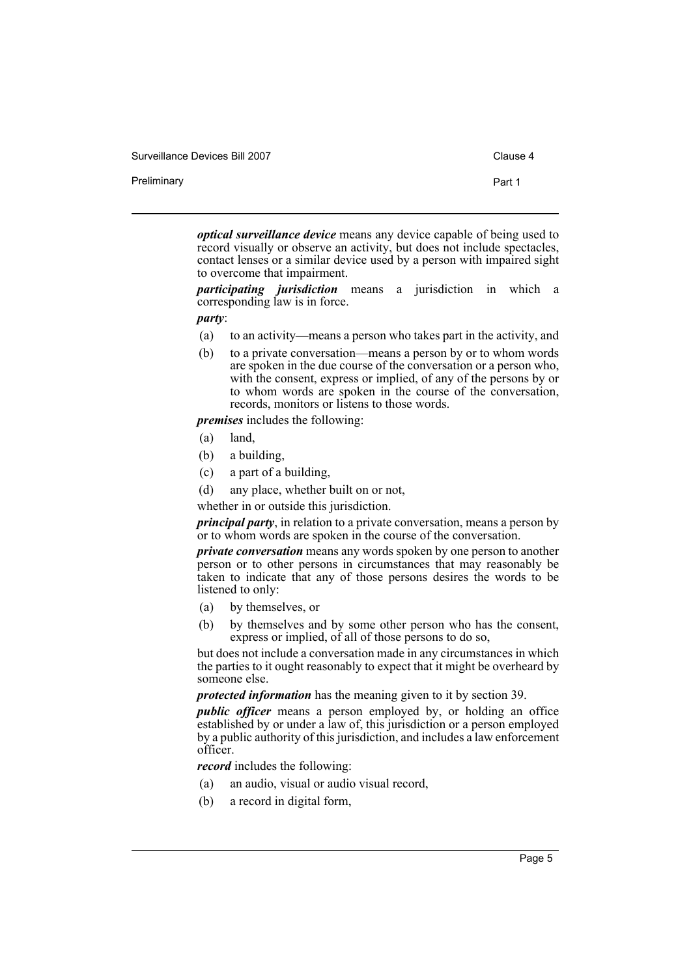Preliminary **Preliminary** Part 1

*optical surveillance device* means any device capable of being used to record visually or observe an activity, but does not include spectacles, contact lenses or a similar device used by a person with impaired sight to overcome that impairment.

*participating jurisdiction* means a jurisdiction in which a corresponding law is in force.

*party*:

- (a) to an activity—means a person who takes part in the activity, and
- (b) to a private conversation—means a person by or to whom words are spoken in the due course of the conversation or a person who, with the consent, express or implied, of any of the persons by or to whom words are spoken in the course of the conversation, records, monitors or listens to those words.

*premises* includes the following:

- (a) land,
- (b) a building,
- (c) a part of a building,
- (d) any place, whether built on or not,
- whether in or outside this jurisdiction.

*principal party*, in relation to a private conversation, means a person by or to whom words are spoken in the course of the conversation.

*private conversation* means any words spoken by one person to another person or to other persons in circumstances that may reasonably be taken to indicate that any of those persons desires the words to be listened to only:

- (a) by themselves, or
- (b) by themselves and by some other person who has the consent, express or implied, of all of those persons to do so,

but does not include a conversation made in any circumstances in which the parties to it ought reasonably to expect that it might be overheard by someone else.

*protected information* has the meaning given to it by section 39.

*public officer* means a person employed by, or holding an office established by or under a law of, this jurisdiction or a person employed by a public authority of this jurisdiction, and includes a law enforcement officer.

*record* includes the following:

- (a) an audio, visual or audio visual record,
- (b) a record in digital form,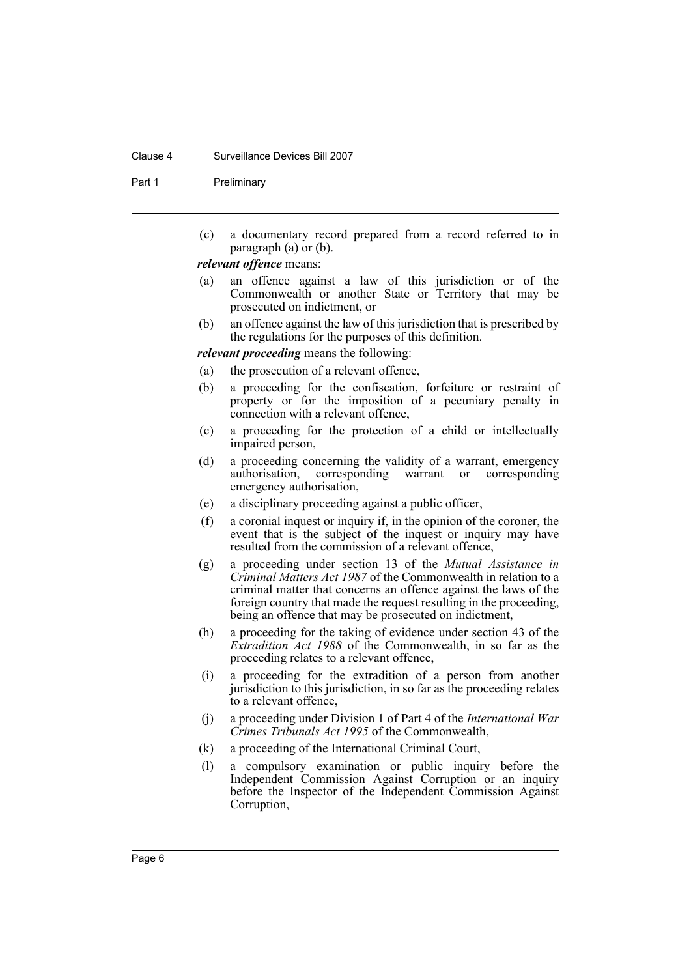#### Clause 4 Surveillance Devices Bill 2007

Part 1 Preliminary

(c) a documentary record prepared from a record referred to in paragraph  $(a)$  or  $(b)$ .

#### *relevant offence* means:

- (a) an offence against a law of this jurisdiction or of the Commonwealth or another State or Territory that may be prosecuted on indictment, or
- (b) an offence against the law of this jurisdiction that is prescribed by the regulations for the purposes of this definition.

*relevant proceeding* means the following:

- (a) the prosecution of a relevant offence,
- (b) a proceeding for the confiscation, forfeiture or restraint of property or for the imposition of a pecuniary penalty in connection with a relevant offence,
- (c) a proceeding for the protection of a child or intellectually impaired person,
- (d) a proceeding concerning the validity of a warrant, emergency authorisation, corresponding warrant or corresponding emergency authorisation,
- (e) a disciplinary proceeding against a public officer,
- (f) a coronial inquest or inquiry if, in the opinion of the coroner, the event that is the subject of the inquest or inquiry may have resulted from the commission of a relevant offence,
- (g) a proceeding under section 13 of the *Mutual Assistance in Criminal Matters Act 1987* of the Commonwealth in relation to a criminal matter that concerns an offence against the laws of the foreign country that made the request resulting in the proceeding, being an offence that may be prosecuted on indictment,
- (h) a proceeding for the taking of evidence under section 43 of the *Extradition Act 1988* of the Commonwealth, in so far as the proceeding relates to a relevant offence,
- (i) a proceeding for the extradition of a person from another jurisdiction to this jurisdiction, in so far as the proceeding relates to a relevant offence,
- (j) a proceeding under Division 1 of Part 4 of the *International War Crimes Tribunals Act 1995* of the Commonwealth,
- (k) a proceeding of the International Criminal Court,
- (l) a compulsory examination or public inquiry before the Independent Commission Against Corruption or an inquiry before the Inspector of the Independent Commission Against Corruption,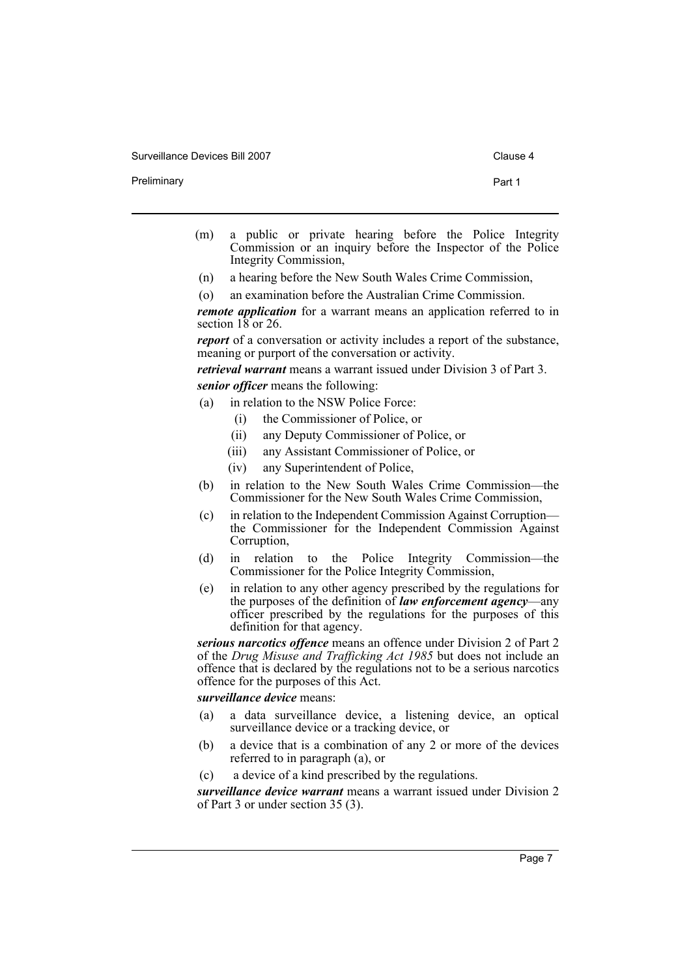Preliminary **Preliminary** Part 1

- (m) a public or private hearing before the Police Integrity Commission or an inquiry before the Inspector of the Police Integrity Commission,
- (n) a hearing before the New South Wales Crime Commission,
- (o) an examination before the Australian Crime Commission.

*remote application* for a warrant means an application referred to in section  $18$  or 26.

*report* of a conversation or activity includes a report of the substance, meaning or purport of the conversation or activity.

*retrieval warrant* means a warrant issued under Division 3 of Part 3. *senior officer* means the following:

- (a) in relation to the NSW Police Force:
	- (i) the Commissioner of Police, or
	- (ii) any Deputy Commissioner of Police, or
	- (iii) any Assistant Commissioner of Police, or
	- (iv) any Superintendent of Police,
- (b) in relation to the New South Wales Crime Commission—the Commissioner for the New South Wales Crime Commission,
- (c) in relation to the Independent Commission Against Corruption the Commissioner for the Independent Commission Against Corruption,
- (d) in relation to the Police Integrity Commission—the Commissioner for the Police Integrity Commission,
- (e) in relation to any other agency prescribed by the regulations for the purposes of the definition of *law enforcement agency*—any officer prescribed by the regulations for the purposes of this definition for that agency.

*serious narcotics offence* means an offence under Division 2 of Part 2 of the *Drug Misuse and Trafficking Act 1985* but does not include an offence that is declared by the regulations not to be a serious narcotics offence for the purposes of this Act.

# *surveillance device* means:

- (a) a data surveillance device, a listening device, an optical surveillance device or a tracking device, or
- (b) a device that is a combination of any 2 or more of the devices referred to in paragraph (a), or
- (c) a device of a kind prescribed by the regulations.

*surveillance device warrant* means a warrant issued under Division 2 of Part 3 or under section 35 (3).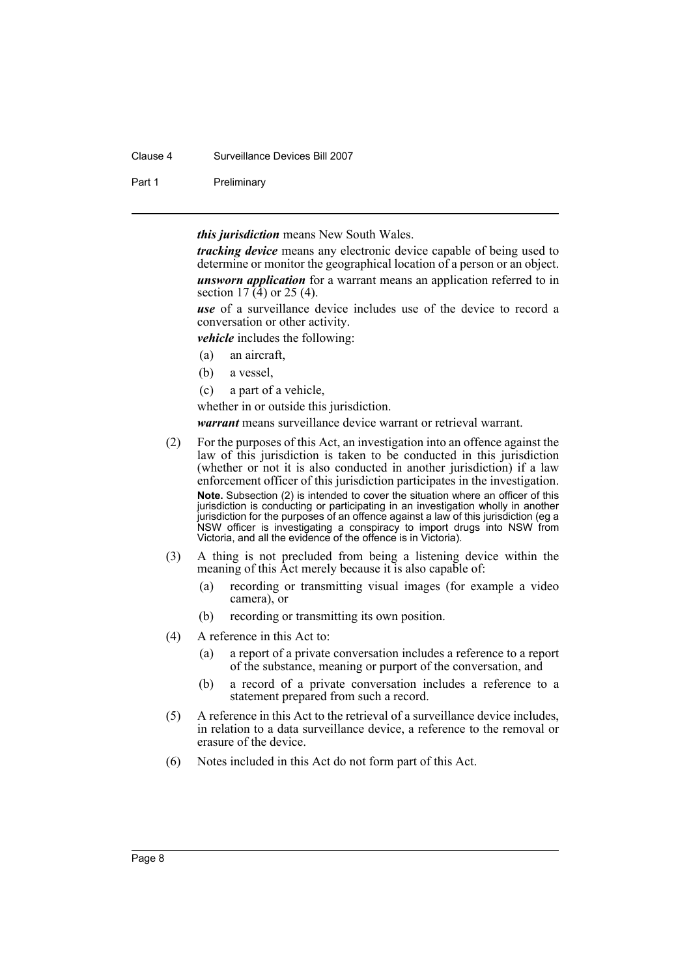# Clause 4 Surveillance Devices Bill 2007

Part 1 Preliminary

*this jurisdiction* means New South Wales.

*tracking device* means any electronic device capable of being used to determine or monitor the geographical location of a person or an object. *unsworn application* for a warrant means an application referred to in section  $17(\hat{4})$  or  $25(4)$ .

*use* of a surveillance device includes use of the device to record a conversation or other activity.

*vehicle* includes the following:

- (a) an aircraft,
- (b) a vessel,
- (c) a part of a vehicle,

whether in or outside this jurisdiction.

*warrant* means surveillance device warrant or retrieval warrant.

- (2) For the purposes of this Act, an investigation into an offence against the law of this jurisdiction is taken to be conducted in this jurisdiction (whether or not it is also conducted in another jurisdiction) if a law enforcement officer of this jurisdiction participates in the investigation. **Note.** Subsection (2) is intended to cover the situation where an officer of this jurisdiction is conducting or participating in an investigation wholly in another jurisdiction for the purposes of an offence against a law of this jurisdiction (eg a NSW officer is investigating a conspiracy to import drugs into NSW from Victoria, and all the evidence of the offence is in Victoria).
- (3) A thing is not precluded from being a listening device within the meaning of this Act merely because it is also capable of:
	- (a) recording or transmitting visual images (for example a video camera), or
	- (b) recording or transmitting its own position.
- (4) A reference in this Act to:
	- (a) a report of a private conversation includes a reference to a report of the substance, meaning or purport of the conversation, and
	- (b) a record of a private conversation includes a reference to a statement prepared from such a record.
- (5) A reference in this Act to the retrieval of a surveillance device includes, in relation to a data surveillance device, a reference to the removal or erasure of the device.
- (6) Notes included in this Act do not form part of this Act.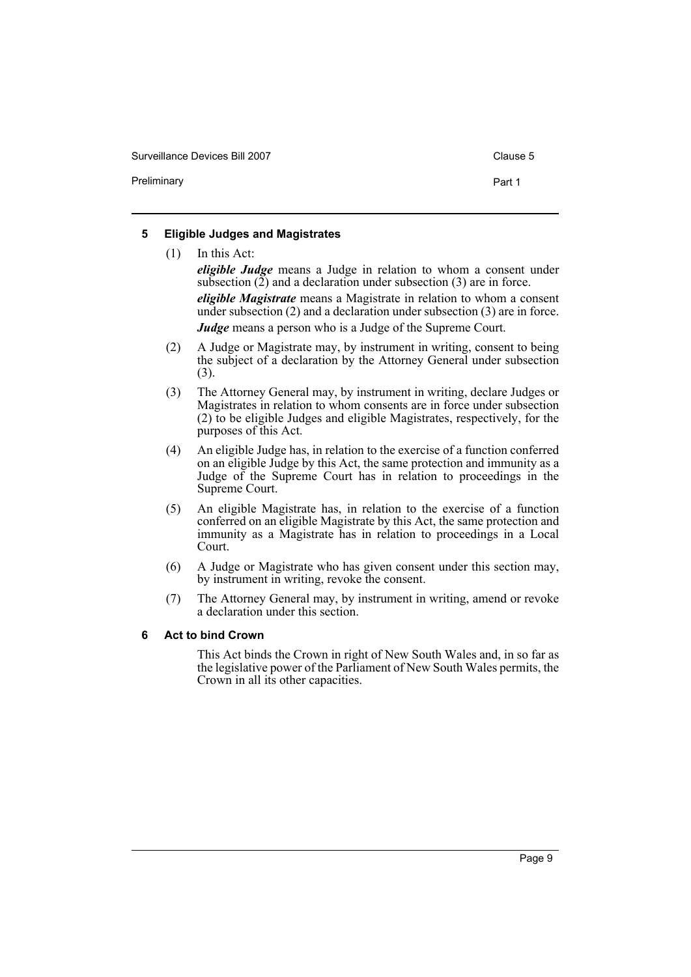Preliminary **Preliminary Part 1** 

# <span id="page-12-0"></span>**5 Eligible Judges and Magistrates**

(1) In this Act: *eligible Judge* means a Judge in relation to whom a consent under subsection  $(\tilde{2})$  and a declaration under subsection  $(3)$  are in force. *eligible Magistrate* means a Magistrate in relation to whom a consent under subsection (2) and a declaration under subsection (3) are in force. *Judge* means a person who is a Judge of the Supreme Court.

- (2) A Judge or Magistrate may, by instrument in writing, consent to being the subject of a declaration by the Attorney General under subsection (3).
- (3) The Attorney General may, by instrument in writing, declare Judges or Magistrates in relation to whom consents are in force under subsection (2) to be eligible Judges and eligible Magistrates, respectively, for the purposes of this Act.
- (4) An eligible Judge has, in relation to the exercise of a function conferred on an eligible Judge by this Act, the same protection and immunity as a Judge of the Supreme Court has in relation to proceedings in the Supreme Court.
- (5) An eligible Magistrate has, in relation to the exercise of a function conferred on an eligible Magistrate by this Act, the same protection and immunity as a Magistrate has in relation to proceedings in a Local Court.
- (6) A Judge or Magistrate who has given consent under this section may, by instrument in writing, revoke the consent.
- (7) The Attorney General may, by instrument in writing, amend or revoke a declaration under this section.

# <span id="page-12-1"></span>**6 Act to bind Crown**

This Act binds the Crown in right of New South Wales and, in so far as the legislative power of the Parliament of New South Wales permits, the Crown in all its other capacities.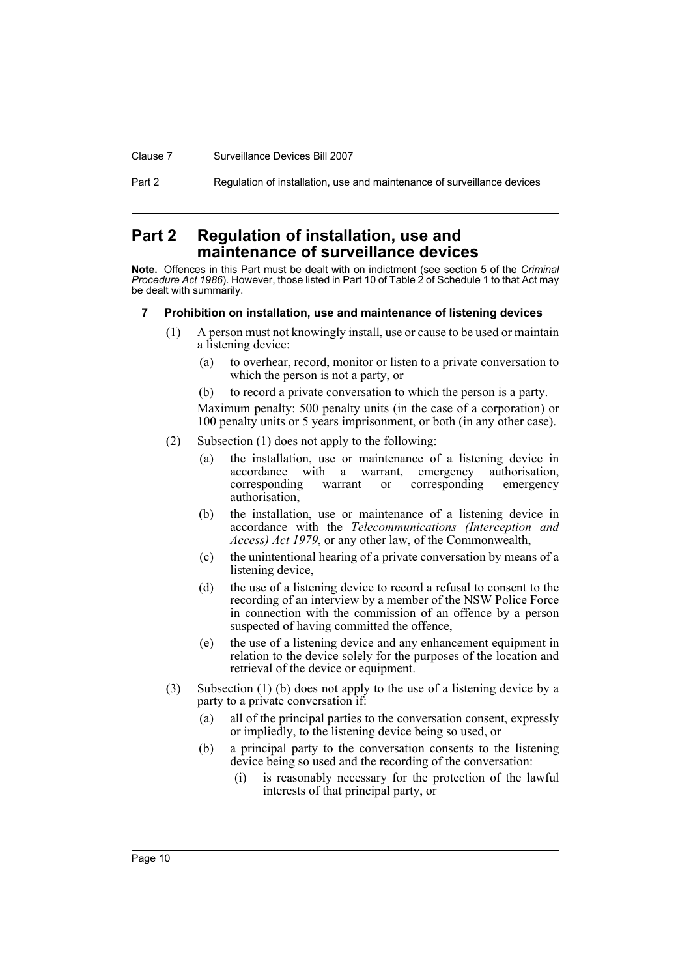Clause 7 Surveillance Devices Bill 2007

Part 2 Regulation of installation, use and maintenance of surveillance devices

# <span id="page-13-0"></span>**Part 2 Regulation of installation, use and maintenance of surveillance devices**

**Note.** Offences in this Part must be dealt with on indictment (see section 5 of the *Criminal Procedure Act 1986*). However, those listed in Part 10 of Table 2 of Schedule 1 to that Act may be dealt with summarily.

# <span id="page-13-1"></span>**7 Prohibition on installation, use and maintenance of listening devices**

- (1) A person must not knowingly install, use or cause to be used or maintain a listening device:
	- (a) to overhear, record, monitor or listen to a private conversation to which the person is not a party, or
	- (b) to record a private conversation to which the person is a party.

- (2) Subsection (1) does not apply to the following:
	- (a) the installation, use or maintenance of a listening device in accordance with a warrant, emergency authorisation, corresponding warrant or corresponding emergency authorisation,
	- (b) the installation, use or maintenance of a listening device in accordance with the *Telecommunications (Interception and Access) Act 1979*, or any other law, of the Commonwealth,
	- (c) the unintentional hearing of a private conversation by means of a listening device,
	- (d) the use of a listening device to record a refusal to consent to the recording of an interview by a member of the NSW Police Force in connection with the commission of an offence by a person suspected of having committed the offence,
	- (e) the use of a listening device and any enhancement equipment in relation to the device solely for the purposes of the location and retrieval of the device or equipment.
- (3) Subsection (1) (b) does not apply to the use of a listening device by a party to a private conversation if:
	- (a) all of the principal parties to the conversation consent, expressly or impliedly, to the listening device being so used, or
	- (b) a principal party to the conversation consents to the listening device being so used and the recording of the conversation:
		- (i) is reasonably necessary for the protection of the lawful interests of that principal party, or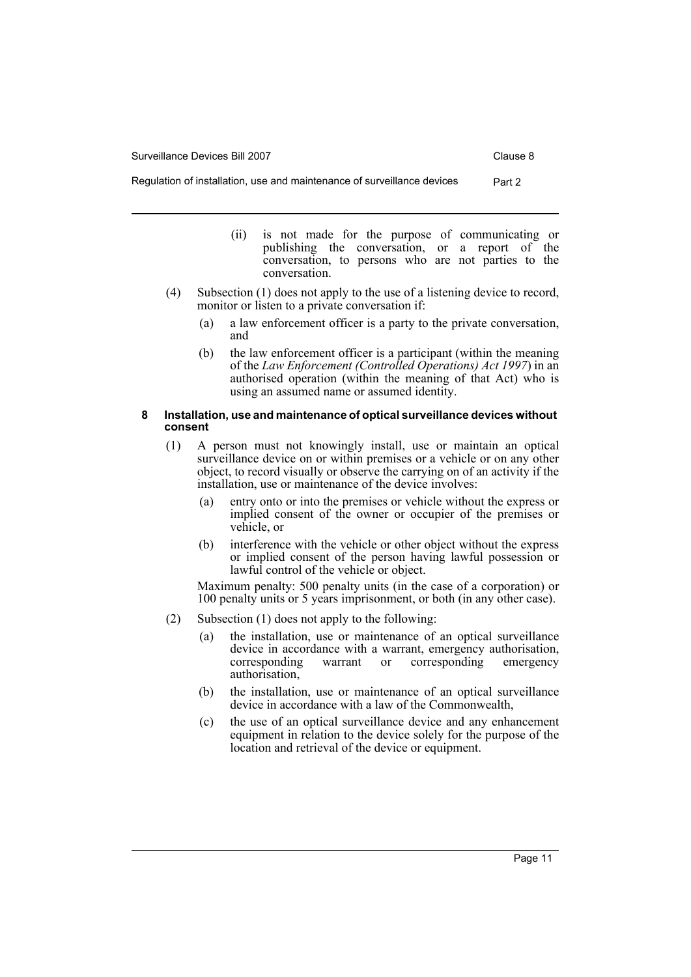- (ii) is not made for the purpose of communicating or publishing the conversation, or a report of the conversation, to persons who are not parties to the conversation.
- (4) Subsection (1) does not apply to the use of a listening device to record, monitor or listen to a private conversation if:
	- (a) a law enforcement officer is a party to the private conversation, and
	- (b) the law enforcement officer is a participant (within the meaning of the *Law Enforcement (Controlled Operations) Act 1997*) in an authorised operation (within the meaning of that Act) who is using an assumed name or assumed identity.

#### <span id="page-14-0"></span>**8 Installation, use and maintenance of optical surveillance devices without consent**

- (1) A person must not knowingly install, use or maintain an optical surveillance device on or within premises or a vehicle or on any other object, to record visually or observe the carrying on of an activity if the installation, use or maintenance of the device involves:
	- (a) entry onto or into the premises or vehicle without the express or implied consent of the owner or occupier of the premises or vehicle, or
	- (b) interference with the vehicle or other object without the express or implied consent of the person having lawful possession or lawful control of the vehicle or object.

- (2) Subsection (1) does not apply to the following:
	- (a) the installation, use or maintenance of an optical surveillance device in accordance with a warrant, emergency authorisation, corresponding warrant or corresponding emergency authorisation,
	- (b) the installation, use or maintenance of an optical surveillance device in accordance with a law of the Commonwealth,
	- (c) the use of an optical surveillance device and any enhancement equipment in relation to the device solely for the purpose of the location and retrieval of the device or equipment.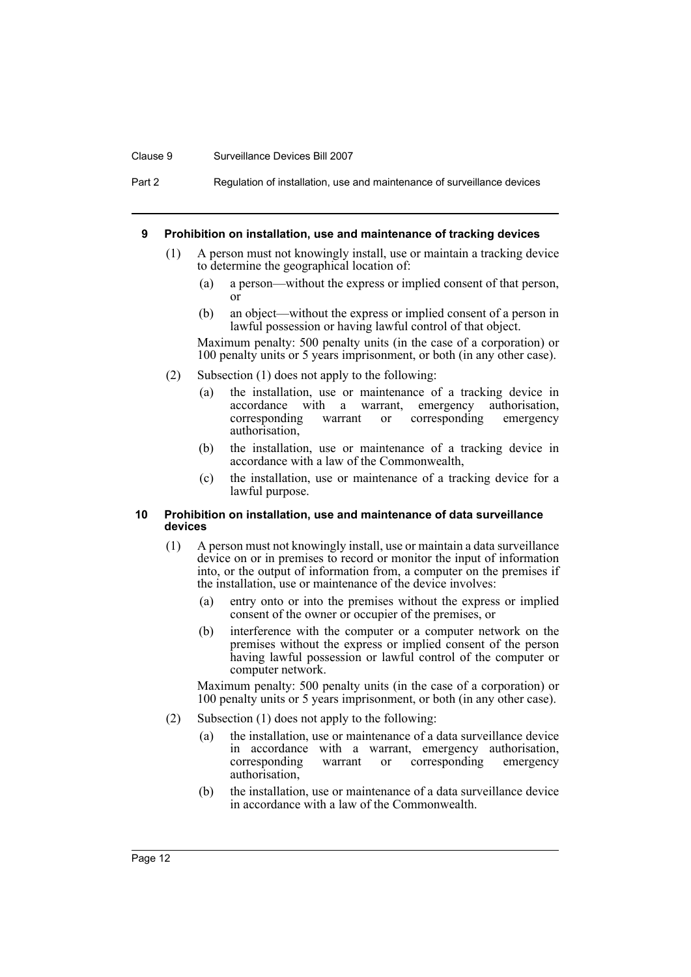#### Clause 9 Surveillance Devices Bill 2007

Part 2 Regulation of installation, use and maintenance of surveillance devices

#### <span id="page-15-0"></span>**9 Prohibition on installation, use and maintenance of tracking devices**

- (1) A person must not knowingly install, use or maintain a tracking device to determine the geographical location of:
	- (a) a person—without the express or implied consent of that person, or
	- (b) an object—without the express or implied consent of a person in lawful possession or having lawful control of that object.

Maximum penalty: 500 penalty units (in the case of a corporation) or 100 penalty units or 5 years imprisonment, or both (in any other case).

- (2) Subsection (1) does not apply to the following:
	- (a) the installation, use or maintenance of a tracking device in accordance with a warrant, emergency authorisation, corresponding warrant or corresponding emergency corresponding warrant or corresponding emergency authorisation,
	- (b) the installation, use or maintenance of a tracking device in accordance with a law of the Commonwealth,
	- (c) the installation, use or maintenance of a tracking device for a lawful purpose.

#### <span id="page-15-1"></span>**10 Prohibition on installation, use and maintenance of data surveillance devices**

- (1) A person must not knowingly install, use or maintain a data surveillance device on or in premises to record or monitor the input of information into, or the output of information from, a computer on the premises if the installation, use or maintenance of the device involves:
	- (a) entry onto or into the premises without the express or implied consent of the owner or occupier of the premises, or
	- (b) interference with the computer or a computer network on the premises without the express or implied consent of the person having lawful possession or lawful control of the computer or computer network.

- (2) Subsection (1) does not apply to the following:
	- (a) the installation, use or maintenance of a data surveillance device in accordance with a warrant, emergency authorisation, corresponding warrant or corresponding emergency authorisation,
	- (b) the installation, use or maintenance of a data surveillance device in accordance with a law of the Commonwealth.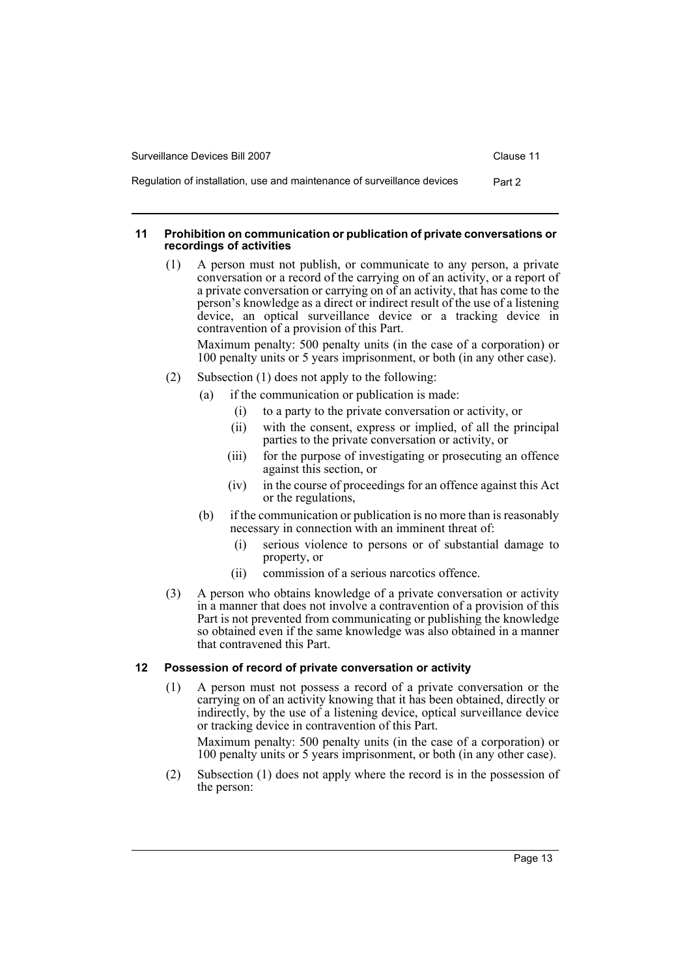Regulation of installation, use and maintenance of surveillance devices Part 2

#### <span id="page-16-0"></span>**11 Prohibition on communication or publication of private conversations or recordings of activities**

(1) A person must not publish, or communicate to any person, a private conversation or a record of the carrying on of an activity, or a report of a private conversation or carrying on of an activity, that has come to the person's knowledge as a direct or indirect result of the use of a listening device, an optical surveillance device or a tracking device in contravention of a provision of this Part.

Maximum penalty: 500 penalty units (in the case of a corporation) or 100 penalty units or 5 years imprisonment, or both (in any other case).

- (2) Subsection (1) does not apply to the following:
	- (a) if the communication or publication is made:
		- (i) to a party to the private conversation or activity, or
		- (ii) with the consent, express or implied, of all the principal parties to the private conversation or activity, or
		- (iii) for the purpose of investigating or prosecuting an offence against this section, or
		- (iv) in the course of proceedings for an offence against this Act or the regulations,
	- (b) if the communication or publication is no more than is reasonably necessary in connection with an imminent threat of:
		- (i) serious violence to persons or of substantial damage to property, or
		- (ii) commission of a serious narcotics offence.
- (3) A person who obtains knowledge of a private conversation or activity in a manner that does not involve a contravention of a provision of this Part is not prevented from communicating or publishing the knowledge so obtained even if the same knowledge was also obtained in a manner that contravened this Part.

# <span id="page-16-1"></span>**12 Possession of record of private conversation or activity**

(1) A person must not possess a record of a private conversation or the carrying on of an activity knowing that it has been obtained, directly or indirectly, by the use of a listening device, optical surveillance device or tracking device in contravention of this Part.

Maximum penalty: 500 penalty units (in the case of a corporation) or 100 penalty units or 5 years imprisonment, or both (in any other case).

(2) Subsection (1) does not apply where the record is in the possession of the person: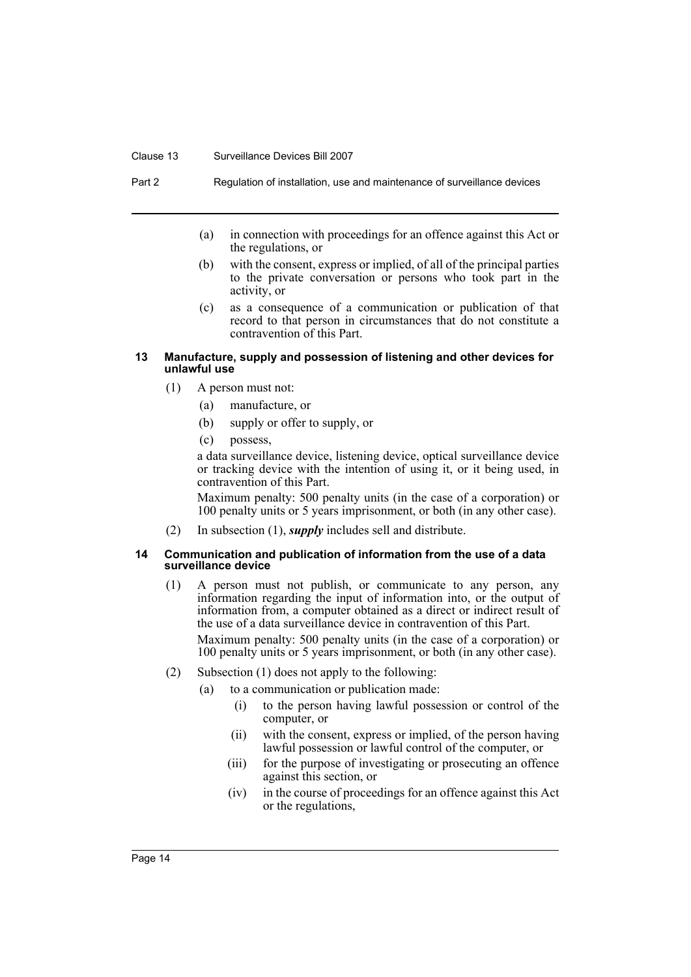#### Clause 13 Surveillance Devices Bill 2007

Part 2 Regulation of installation, use and maintenance of surveillance devices

- (a) in connection with proceedings for an offence against this Act or the regulations, or
- (b) with the consent, express or implied, of all of the principal parties to the private conversation or persons who took part in the activity, or
- (c) as a consequence of a communication or publication of that record to that person in circumstances that do not constitute a contravention of this Part.

#### <span id="page-17-0"></span>**13 Manufacture, supply and possession of listening and other devices for unlawful use**

- (1) A person must not:
	- (a) manufacture, or
	- (b) supply or offer to supply, or
	- (c) possess,

a data surveillance device, listening device, optical surveillance device or tracking device with the intention of using it, or it being used, in contravention of this Part.

Maximum penalty: 500 penalty units (in the case of a corporation) or 100 penalty units or 5 years imprisonment, or both (in any other case).

(2) In subsection (1), *supply* includes sell and distribute.

#### <span id="page-17-1"></span>**14 Communication and publication of information from the use of a data surveillance device**

(1) A person must not publish, or communicate to any person, any information regarding the input of information into, or the output of information from, a computer obtained as a direct or indirect result of the use of a data surveillance device in contravention of this Part.

- (2) Subsection (1) does not apply to the following:
	- (a) to a communication or publication made:
		- (i) to the person having lawful possession or control of the computer, or
		- (ii) with the consent, express or implied, of the person having lawful possession or lawful control of the computer, or
		- (iii) for the purpose of investigating or prosecuting an offence against this section, or
		- (iv) in the course of proceedings for an offence against this Act or the regulations,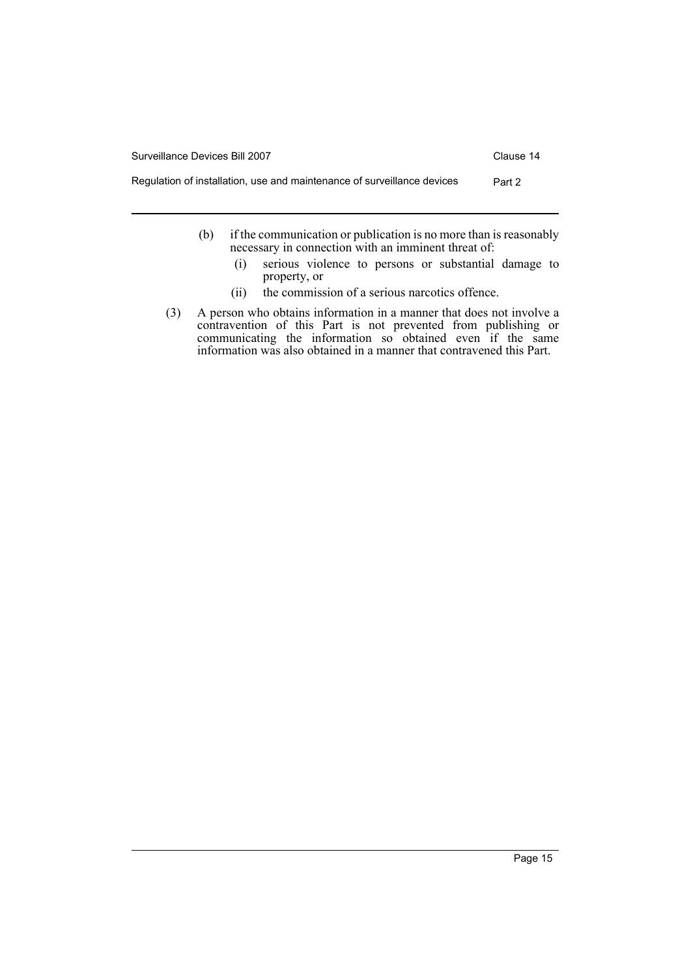- (b) if the communication or publication is no more than is reasonably necessary in connection with an imminent threat of:
	- (i) serious violence to persons or substantial damage to property, or
	- (ii) the commission of a serious narcotics offence.
- (3) A person who obtains information in a manner that does not involve a contravention of this Part is not prevented from publishing or communicating the information so obtained even if the same information was also obtained in a manner that contravened this Part.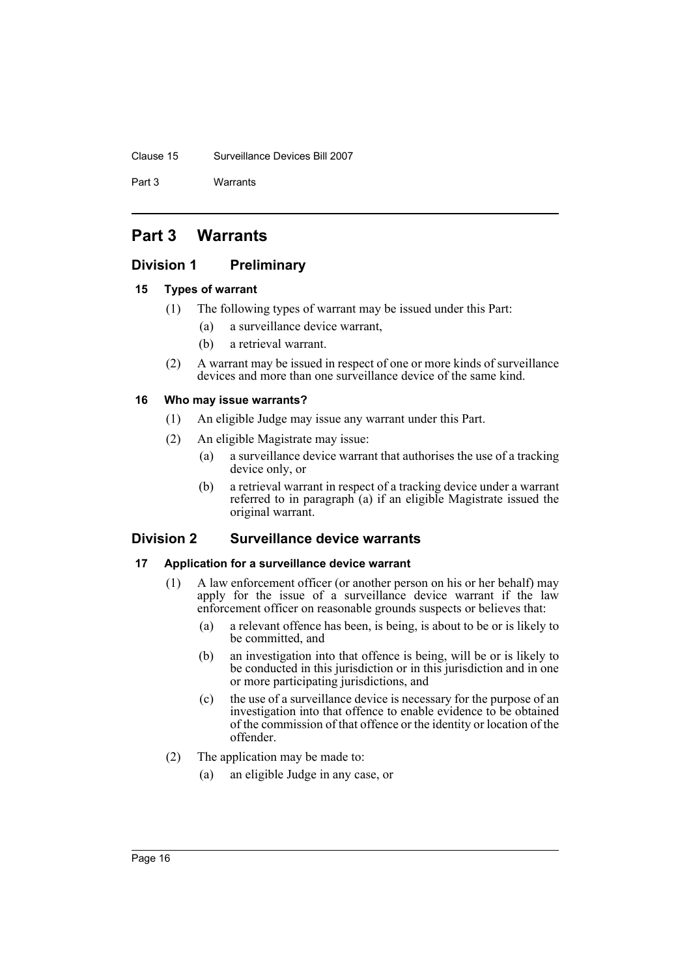#### Clause 15 Surveillance Devices Bill 2007

Part 3 Warrants

# <span id="page-19-0"></span>**Part 3 Warrants**

# <span id="page-19-1"></span>**Division 1 Preliminary**

# <span id="page-19-2"></span>**15 Types of warrant**

- (1) The following types of warrant may be issued under this Part:
	- (a) a surveillance device warrant,
	- (b) a retrieval warrant.
- (2) A warrant may be issued in respect of one or more kinds of surveillance devices and more than one surveillance device of the same kind.

# <span id="page-19-3"></span>**16 Who may issue warrants?**

- (1) An eligible Judge may issue any warrant under this Part.
- (2) An eligible Magistrate may issue:
	- (a) a surveillance device warrant that authorises the use of a tracking device only, or
	- (b) a retrieval warrant in respect of a tracking device under a warrant referred to in paragraph (a) if an eligible Magistrate issued the original warrant.

# <span id="page-19-4"></span>**Division 2 Surveillance device warrants**

# <span id="page-19-5"></span>**17 Application for a surveillance device warrant**

- (1) A law enforcement officer (or another person on his or her behalf) may apply for the issue of a surveillance device warrant if the law enforcement officer on reasonable grounds suspects or believes that:
	- (a) a relevant offence has been, is being, is about to be or is likely to be committed, and
	- (b) an investigation into that offence is being, will be or is likely to be conducted in this jurisdiction or in this jurisdiction and in one or more participating jurisdictions, and
	- (c) the use of a surveillance device is necessary for the purpose of an investigation into that offence to enable evidence to be obtained of the commission of that offence or the identity or location of the offender.
- (2) The application may be made to:
	- (a) an eligible Judge in any case, or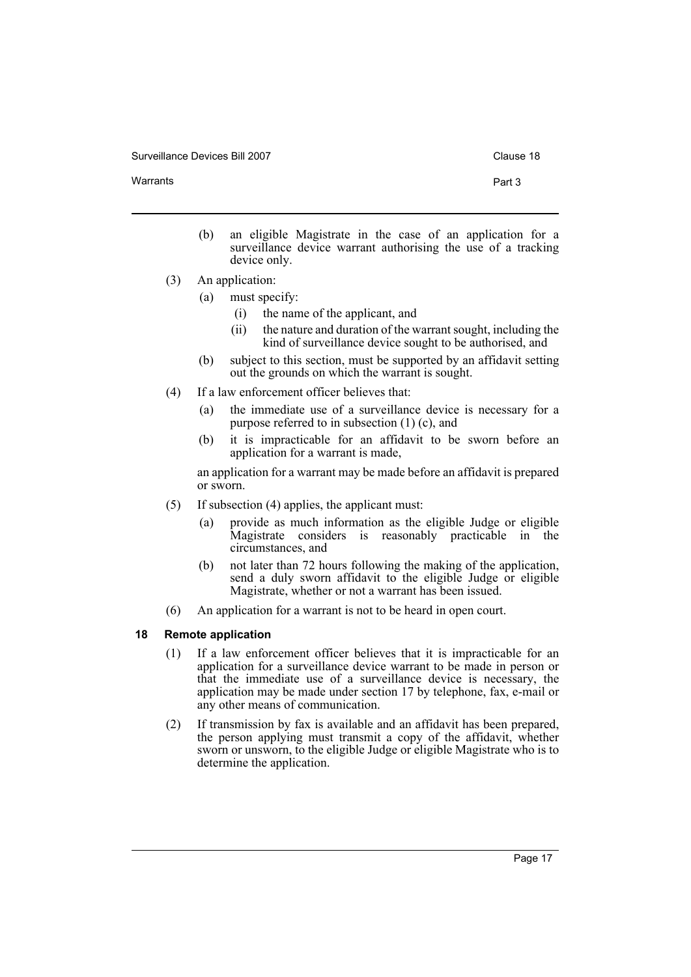Warrants **Part 3** 

- 
- (b) an eligible Magistrate in the case of an application for a surveillance device warrant authorising the use of a tracking device only.
- (3) An application:
	- (a) must specify:
		- (i) the name of the applicant, and
		- (ii) the nature and duration of the warrant sought, including the kind of surveillance device sought to be authorised, and
	- (b) subject to this section, must be supported by an affidavit setting out the grounds on which the warrant is sought.
- (4) If a law enforcement officer believes that:
	- (a) the immediate use of a surveillance device is necessary for a purpose referred to in subsection (1) (c), and
	- (b) it is impracticable for an affidavit to be sworn before an application for a warrant is made,

an application for a warrant may be made before an affidavit is prepared or sworn.

- (5) If subsection (4) applies, the applicant must:
	- (a) provide as much information as the eligible Judge or eligible Magistrate considers is reasonably practicable in the circumstances, and
	- (b) not later than 72 hours following the making of the application, send a duly sworn affidavit to the eligible Judge or eligible Magistrate, whether or not a warrant has been issued.
- (6) An application for a warrant is not to be heard in open court.

# <span id="page-20-0"></span>**18 Remote application**

- (1) If a law enforcement officer believes that it is impracticable for an application for a surveillance device warrant to be made in person or that the immediate use of a surveillance device is necessary, the application may be made under section 17 by telephone, fax, e-mail or any other means of communication.
- (2) If transmission by fax is available and an affidavit has been prepared, the person applying must transmit a copy of the affidavit, whether sworn or unsworn, to the eligible Judge or eligible Magistrate who is to determine the application.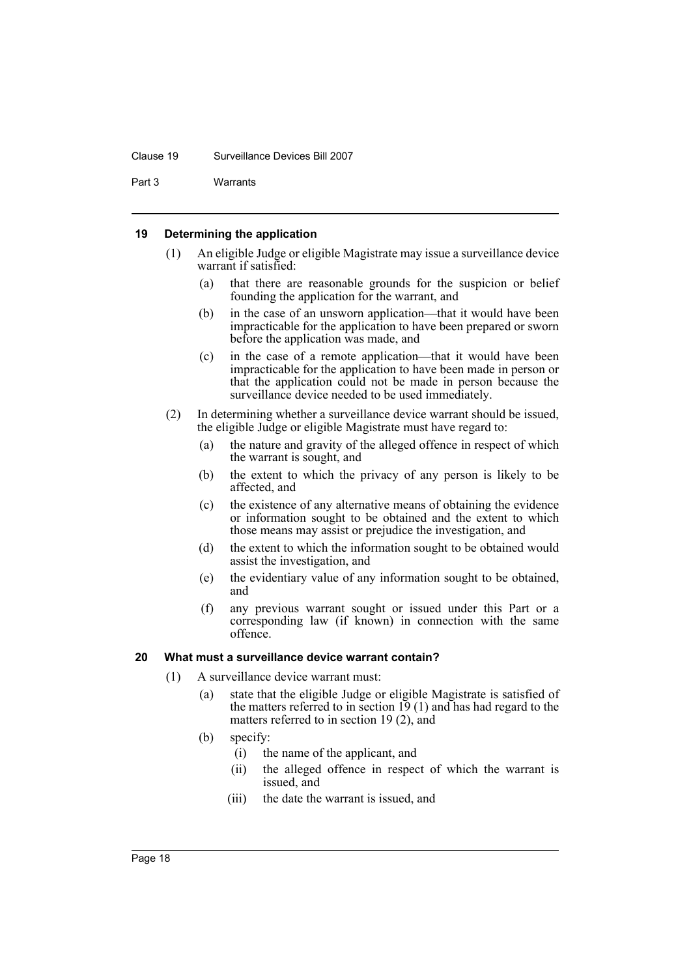#### Clause 19 Surveillance Devices Bill 2007

Part 3 Warrants

# <span id="page-21-0"></span>**19 Determining the application**

- (1) An eligible Judge or eligible Magistrate may issue a surveillance device warrant if satisfied:
	- (a) that there are reasonable grounds for the suspicion or belief founding the application for the warrant, and
	- (b) in the case of an unsworn application—that it would have been impracticable for the application to have been prepared or sworn before the application was made, and
	- (c) in the case of a remote application—that it would have been impracticable for the application to have been made in person or that the application could not be made in person because the surveillance device needed to be used immediately.
- (2) In determining whether a surveillance device warrant should be issued, the eligible Judge or eligible Magistrate must have regard to:
	- (a) the nature and gravity of the alleged offence in respect of which the warrant is sought, and
	- (b) the extent to which the privacy of any person is likely to be affected, and
	- (c) the existence of any alternative means of obtaining the evidence or information sought to be obtained and the extent to which those means may assist or prejudice the investigation, and
	- (d) the extent to which the information sought to be obtained would assist the investigation, and
	- (e) the evidentiary value of any information sought to be obtained, and
	- (f) any previous warrant sought or issued under this Part or a corresponding law (if known) in connection with the same offence.

# <span id="page-21-1"></span>**20 What must a surveillance device warrant contain?**

- (1) A surveillance device warrant must:
	- (a) state that the eligible Judge or eligible Magistrate is satisfied of the matters referred to in section  $19(1)$  and has had regard to the matters referred to in section 19 (2), and
	- (b) specify:
		- (i) the name of the applicant, and
		- (ii) the alleged offence in respect of which the warrant is issued, and
		- (iii) the date the warrant is issued, and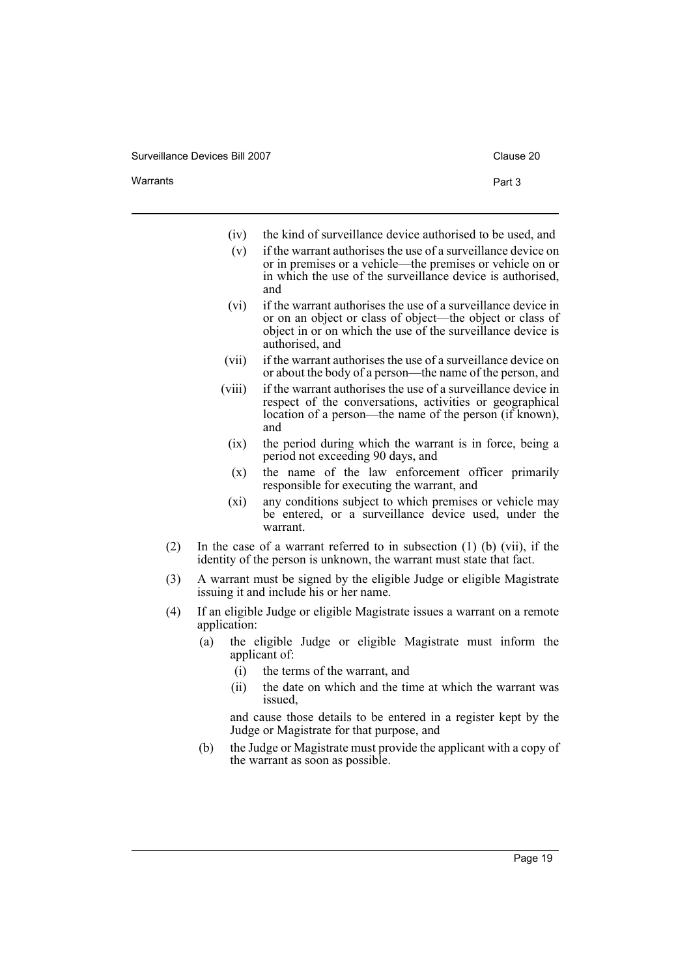| Surveillance Devices Bill 2007 |  |  |
|--------------------------------|--|--|
|--------------------------------|--|--|

|  |  | Varrants |
|--|--|----------|
|  |  |          |

- (iv) the kind of surveillance device authorised to be used, and
- (v) if the warrant authorises the use of a surveillance device on or in premises or a vehicle—the premises or vehicle on or in which the use of the surveillance device is authorised, and
- (vi) if the warrant authorises the use of a surveillance device in or on an object or class of object—the object or class of object in or on which the use of the surveillance device is authorised, and
- (vii) if the warrant authorises the use of a surveillance device on or about the body of a person—the name of the person, and
- (viii) if the warrant authorises the use of a surveillance device in respect of the conversations, activities or geographical location of a person—the name of the person (if known), and
	- (ix) the period during which the warrant is in force, being a period not exceeding 90 days, and
	- (x) the name of the law enforcement officer primarily responsible for executing the warrant, and
- (xi) any conditions subject to which premises or vehicle may be entered, or a surveillance device used, under the warrant.
- (2) In the case of a warrant referred to in subsection (1) (b) (vii), if the identity of the person is unknown, the warrant must state that fact.
- (3) A warrant must be signed by the eligible Judge or eligible Magistrate issuing it and include his or her name.
- (4) If an eligible Judge or eligible Magistrate issues a warrant on a remote application:
	- (a) the eligible Judge or eligible Magistrate must inform the applicant of:
		- (i) the terms of the warrant, and
		- (ii) the date on which and the time at which the warrant was issued,

and cause those details to be entered in a register kept by the Judge or Magistrate for that purpose, and

(b) the Judge or Magistrate must provide the applicant with a copy of the warrant as soon as possible.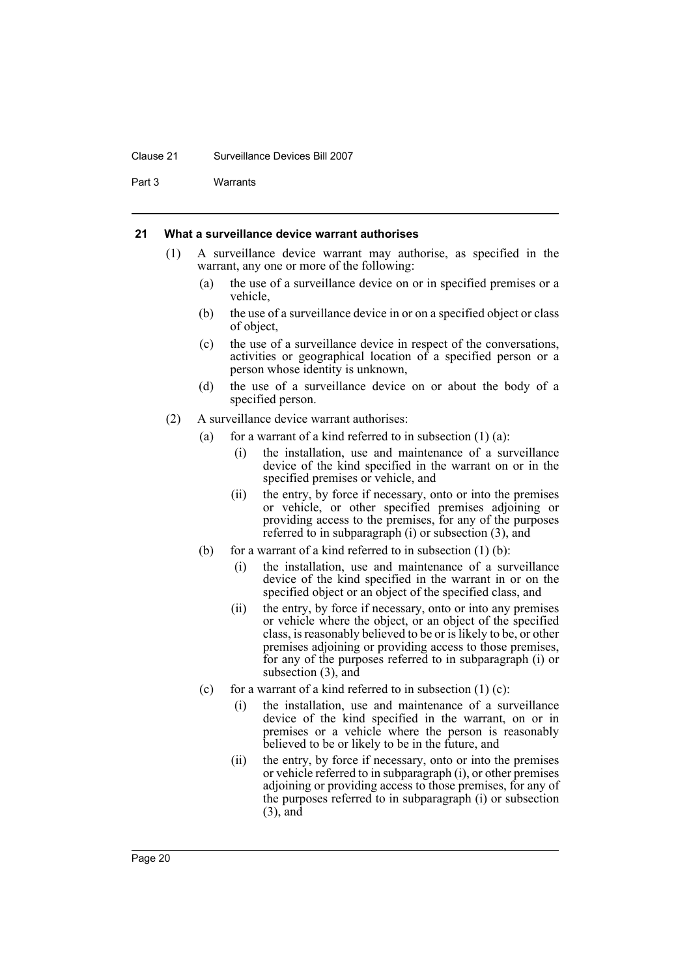#### Clause 21 Surveillance Devices Bill 2007

Part 3 Warrants

#### <span id="page-23-0"></span>**21 What a surveillance device warrant authorises**

- (1) A surveillance device warrant may authorise, as specified in the warrant, any one or more of the following:
	- (a) the use of a surveillance device on or in specified premises or a vehicle,
	- (b) the use of a surveillance device in or on a specified object or class of object,
	- (c) the use of a surveillance device in respect of the conversations, activities or geographical location of a specified person or a person whose identity is unknown,
	- (d) the use of a surveillance device on or about the body of a specified person.
- (2) A surveillance device warrant authorises:
	- (a) for a warrant of a kind referred to in subsection  $(1)$  (a):
		- (i) the installation, use and maintenance of a surveillance device of the kind specified in the warrant on or in the specified premises or vehicle, and
		- (ii) the entry, by force if necessary, onto or into the premises or vehicle, or other specified premises adjoining or providing access to the premises, for any of the purposes referred to in subparagraph (i) or subsection (3), and
	- (b) for a warrant of a kind referred to in subsection  $(1)$  (b):
		- (i) the installation, use and maintenance of a surveillance device of the kind specified in the warrant in or on the specified object or an object of the specified class, and
		- (ii) the entry, by force if necessary, onto or into any premises or vehicle where the object, or an object of the specified class, is reasonably believed to be or is likely to be, or other premises adjoining or providing access to those premises, for any of the purposes referred to in subparagraph (i) or subsection (3), and
	- (c) for a warrant of a kind referred to in subsection  $(1)$  (c):
		- (i) the installation, use and maintenance of a surveillance device of the kind specified in the warrant, on or in premises or a vehicle where the person is reasonably believed to be or likely to be in the future, and
		- (ii) the entry, by force if necessary, onto or into the premises or vehicle referred to in subparagraph (i), or other premises adjoining or providing access to those premises, for any of the purposes referred to in subparagraph (i) or subsection (3), and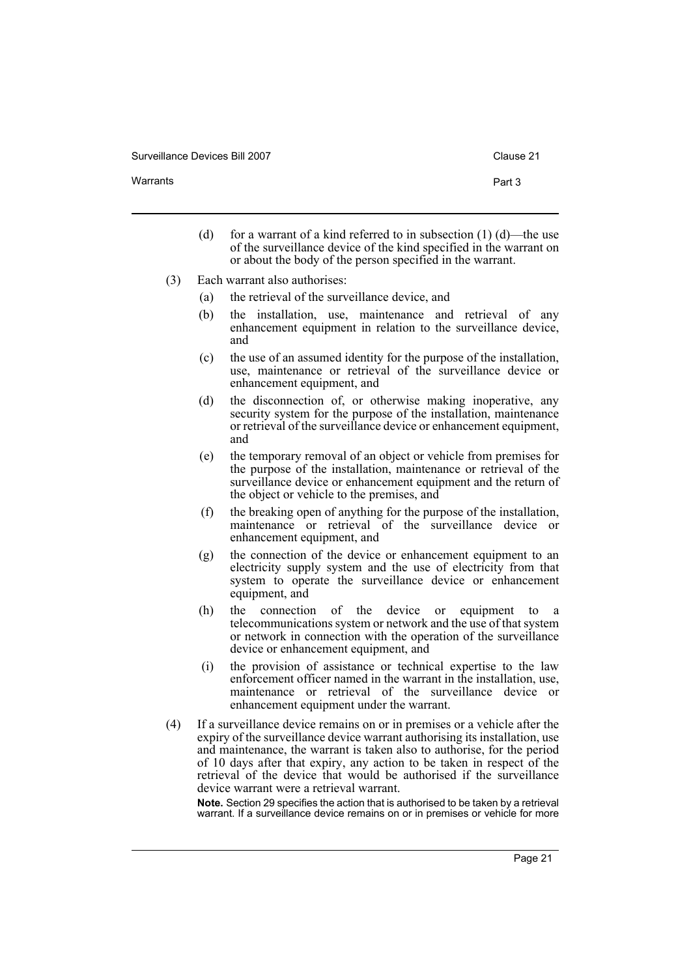- Warrants **Part 3** 
	- (d) for a warrant of a kind referred to in subsection  $(1)$  (d)—the use of the surveillance device of the kind specified in the warrant on or about the body of the person specified in the warrant.
	- (3) Each warrant also authorises:
		- (a) the retrieval of the surveillance device, and
		- (b) the installation, use, maintenance and retrieval of any enhancement equipment in relation to the surveillance device, and
		- (c) the use of an assumed identity for the purpose of the installation, use, maintenance or retrieval of the surveillance device or enhancement equipment, and
		- (d) the disconnection of, or otherwise making inoperative, any security system for the purpose of the installation, maintenance or retrieval of the surveillance device or enhancement equipment, and
		- (e) the temporary removal of an object or vehicle from premises for the purpose of the installation, maintenance or retrieval of the surveillance device or enhancement equipment and the return of the object or vehicle to the premises, and
		- (f) the breaking open of anything for the purpose of the installation, maintenance or retrieval of the surveillance device or enhancement equipment, and
		- (g) the connection of the device or enhancement equipment to an electricity supply system and the use of electricity from that system to operate the surveillance device or enhancement equipment, and
		- (h) the connection of the device or equipment to a telecommunications system or network and the use of that system or network in connection with the operation of the surveillance device or enhancement equipment, and
		- (i) the provision of assistance or technical expertise to the law enforcement officer named in the warrant in the installation, use, maintenance or retrieval of the surveillance device or enhancement equipment under the warrant.
	- (4) If a surveillance device remains on or in premises or a vehicle after the expiry of the surveillance device warrant authorising its installation, use and maintenance, the warrant is taken also to authorise, for the period of 10 days after that expiry, any action to be taken in respect of the retrieval of the device that would be authorised if the surveillance device warrant were a retrieval warrant.

**Note.** Section 29 specifies the action that is authorised to be taken by a retrieval warrant. If a surveillance device remains on or in premises or vehicle for more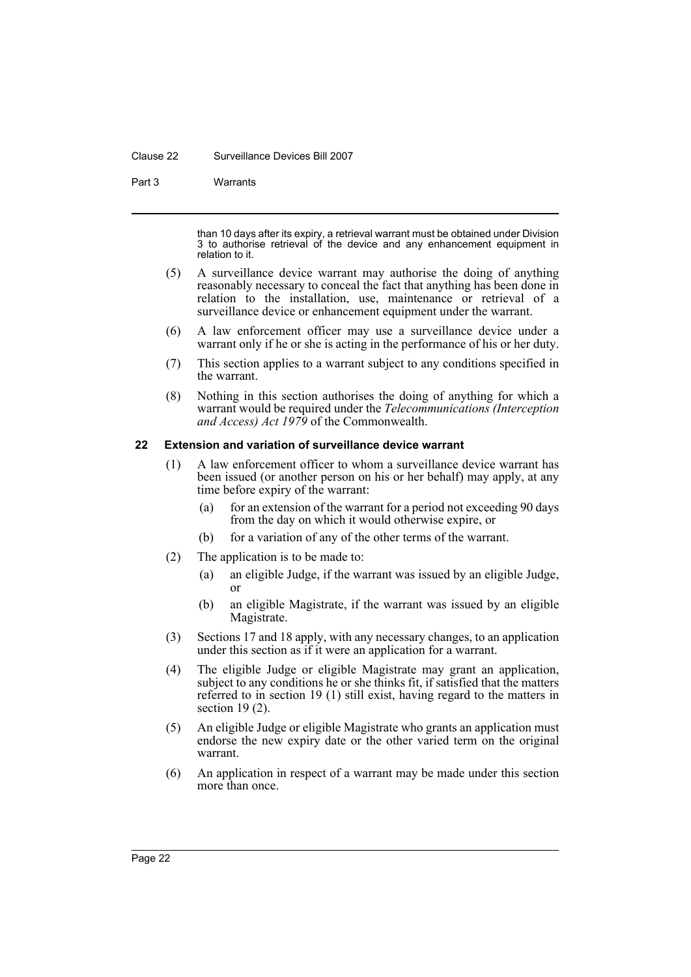#### Clause 22 Surveillance Devices Bill 2007

Part 3 Warrants

than 10 days after its expiry, a retrieval warrant must be obtained under Division 3 to authorise retrieval of the device and any enhancement equipment in relation to it.

- (5) A surveillance device warrant may authorise the doing of anything reasonably necessary to conceal the fact that anything has been done in relation to the installation, use, maintenance or retrieval of a surveillance device or enhancement equipment under the warrant.
- (6) A law enforcement officer may use a surveillance device under a warrant only if he or she is acting in the performance of his or her duty.
- (7) This section applies to a warrant subject to any conditions specified in the warrant.
- (8) Nothing in this section authorises the doing of anything for which a warrant would be required under the *Telecommunications (Interception and Access) Act 1979* of the Commonwealth.

# <span id="page-25-0"></span>**22 Extension and variation of surveillance device warrant**

- (1) A law enforcement officer to whom a surveillance device warrant has been issued (or another person on his or her behalf) may apply, at any time before expiry of the warrant:
	- (a) for an extension of the warrant for a period not exceeding 90 days from the day on which it would otherwise expire, or
	- (b) for a variation of any of the other terms of the warrant.
- (2) The application is to be made to:
	- (a) an eligible Judge, if the warrant was issued by an eligible Judge, or
	- (b) an eligible Magistrate, if the warrant was issued by an eligible Magistrate.
- (3) Sections 17 and 18 apply, with any necessary changes, to an application under this section as if it were an application for a warrant.
- (4) The eligible Judge or eligible Magistrate may grant an application, subject to any conditions he or she thinks fit, if satisfied that the matters referred to in section 19 (1) still exist, having regard to the matters in section 19 (2).
- (5) An eligible Judge or eligible Magistrate who grants an application must endorse the new expiry date or the other varied term on the original warrant.
- (6) An application in respect of a warrant may be made under this section more than once.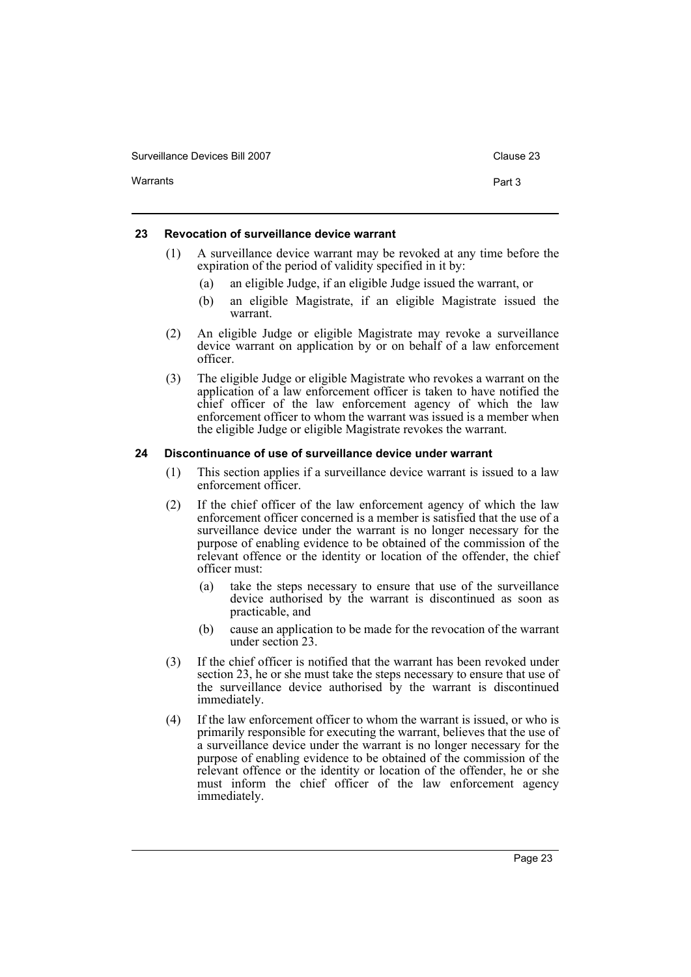| Surveillance Devices Bill 2007 | Clause 23 |
|--------------------------------|-----------|
| Warrants                       | Part 3    |

# <span id="page-26-0"></span>**23 Revocation of surveillance device warrant**

- (1) A surveillance device warrant may be revoked at any time before the expiration of the period of validity specified in it by:
	- (a) an eligible Judge, if an eligible Judge issued the warrant, or
	- (b) an eligible Magistrate, if an eligible Magistrate issued the warrant.
- (2) An eligible Judge or eligible Magistrate may revoke a surveillance device warrant on application by or on behalf of a law enforcement officer.
- (3) The eligible Judge or eligible Magistrate who revokes a warrant on the application of a law enforcement officer is taken to have notified the chief officer of the law enforcement agency of which the law enforcement officer to whom the warrant was issued is a member when the eligible Judge or eligible Magistrate revokes the warrant.

# <span id="page-26-1"></span>**24 Discontinuance of use of surveillance device under warrant**

- (1) This section applies if a surveillance device warrant is issued to a law enforcement officer.
- (2) If the chief officer of the law enforcement agency of which the law enforcement officer concerned is a member is satisfied that the use of a surveillance device under the warrant is no longer necessary for the purpose of enabling evidence to be obtained of the commission of the relevant offence or the identity or location of the offender, the chief officer must:
	- (a) take the steps necessary to ensure that use of the surveillance device authorised by the warrant is discontinued as soon as practicable, and
	- (b) cause an application to be made for the revocation of the warrant under section 23.
- (3) If the chief officer is notified that the warrant has been revoked under section 23, he or she must take the steps necessary to ensure that use of the surveillance device authorised by the warrant is discontinued immediately.
- (4) If the law enforcement officer to whom the warrant is issued, or who is primarily responsible for executing the warrant, believes that the use of a surveillance device under the warrant is no longer necessary for the purpose of enabling evidence to be obtained of the commission of the relevant offence or the identity or location of the offender, he or she must inform the chief officer of the law enforcement agency immediately.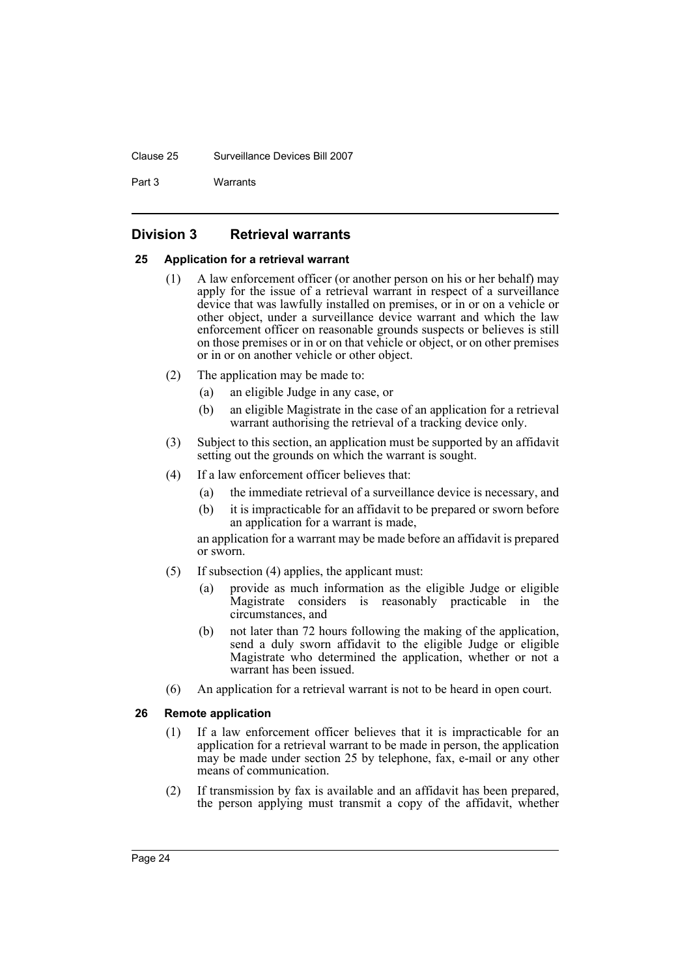#### Clause 25 Surveillance Devices Bill 2007

Part 3 Warrants

# <span id="page-27-0"></span>**Division 3 Retrieval warrants**

# <span id="page-27-1"></span>**25 Application for a retrieval warrant**

- (1) A law enforcement officer (or another person on his or her behalf) may apply for the issue of a retrieval warrant in respect of a surveillance device that was lawfully installed on premises, or in or on a vehicle or other object, under a surveillance device warrant and which the law enforcement officer on reasonable grounds suspects or believes is still on those premises or in or on that vehicle or object, or on other premises or in or on another vehicle or other object.
- (2) The application may be made to:
	- (a) an eligible Judge in any case, or
	- (b) an eligible Magistrate in the case of an application for a retrieval warrant authorising the retrieval of a tracking device only.
- (3) Subject to this section, an application must be supported by an affidavit setting out the grounds on which the warrant is sought.
- (4) If a law enforcement officer believes that:
	- (a) the immediate retrieval of a surveillance device is necessary, and
	- (b) it is impracticable for an affidavit to be prepared or sworn before an application for a warrant is made,

an application for a warrant may be made before an affidavit is prepared or sworn.

- (5) If subsection (4) applies, the applicant must:
	- (a) provide as much information as the eligible Judge or eligible Magistrate considers is reasonably practicable in the circumstances, and
	- (b) not later than 72 hours following the making of the application, send a duly sworn affidavit to the eligible Judge or eligible Magistrate who determined the application, whether or not a warrant has been issued.
- (6) An application for a retrieval warrant is not to be heard in open court.

# <span id="page-27-2"></span>**26 Remote application**

- (1) If a law enforcement officer believes that it is impracticable for an application for a retrieval warrant to be made in person, the application may be made under section 25 by telephone, fax, e-mail or any other means of communication.
- (2) If transmission by fax is available and an affidavit has been prepared, the person applying must transmit a copy of the affidavit, whether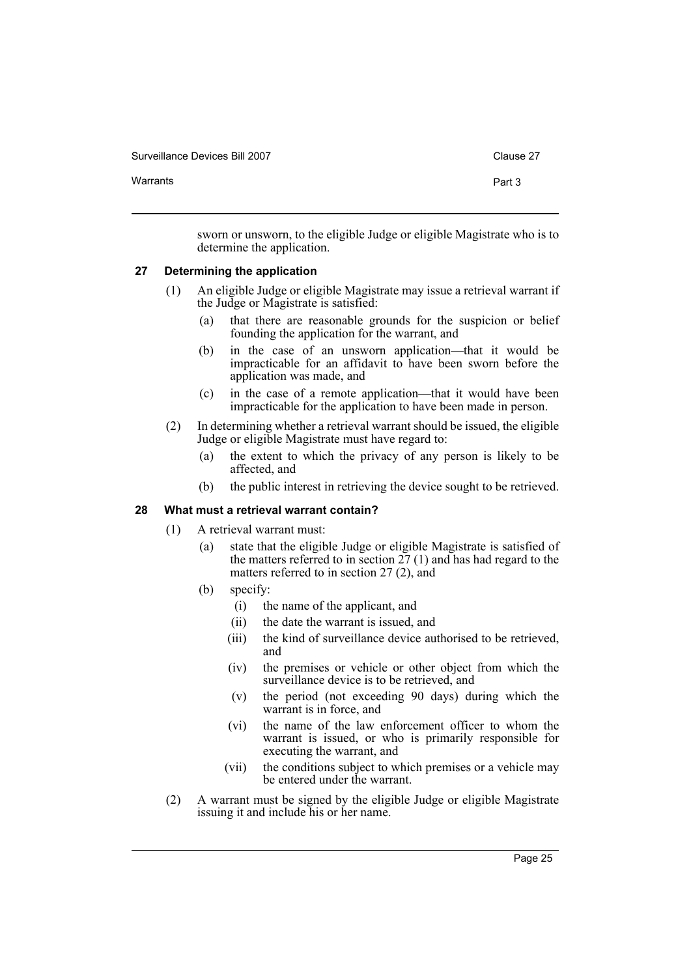| Surveillance Devices Bill 2007 |
|--------------------------------|
|--------------------------------|

| Part 3 |
|--------|
|        |

sworn or unsworn, to the eligible Judge or eligible Magistrate who is to determine the application.

# <span id="page-28-0"></span>**27 Determining the application**

- (1) An eligible Judge or eligible Magistrate may issue a retrieval warrant if the Judge or Magistrate is satisfied:
	- (a) that there are reasonable grounds for the suspicion or belief founding the application for the warrant, and
	- (b) in the case of an unsworn application—that it would be impracticable for an affidavit to have been sworn before the application was made, and
	- (c) in the case of a remote application—that it would have been impracticable for the application to have been made in person.
- (2) In determining whether a retrieval warrant should be issued, the eligible Judge or eligible Magistrate must have regard to:
	- (a) the extent to which the privacy of any person is likely to be affected, and
	- (b) the public interest in retrieving the device sought to be retrieved.

#### <span id="page-28-1"></span>**28 What must a retrieval warrant contain?**

- (1) A retrieval warrant must:
	- (a) state that the eligible Judge or eligible Magistrate is satisfied of the matters referred to in section  $27(1)$  and has had regard to the matters referred to in section 27 (2), and
	- (b) specify:
		- (i) the name of the applicant, and
		- (ii) the date the warrant is issued, and
		- (iii) the kind of surveillance device authorised to be retrieved, and
		- (iv) the premises or vehicle or other object from which the surveillance device is to be retrieved, and
		- (v) the period (not exceeding 90 days) during which the warrant is in force, and
		- (vi) the name of the law enforcement officer to whom the warrant is issued, or who is primarily responsible for executing the warrant, and
		- (vii) the conditions subject to which premises or a vehicle may be entered under the warrant.
- (2) A warrant must be signed by the eligible Judge or eligible Magistrate issuing it and include his or her name.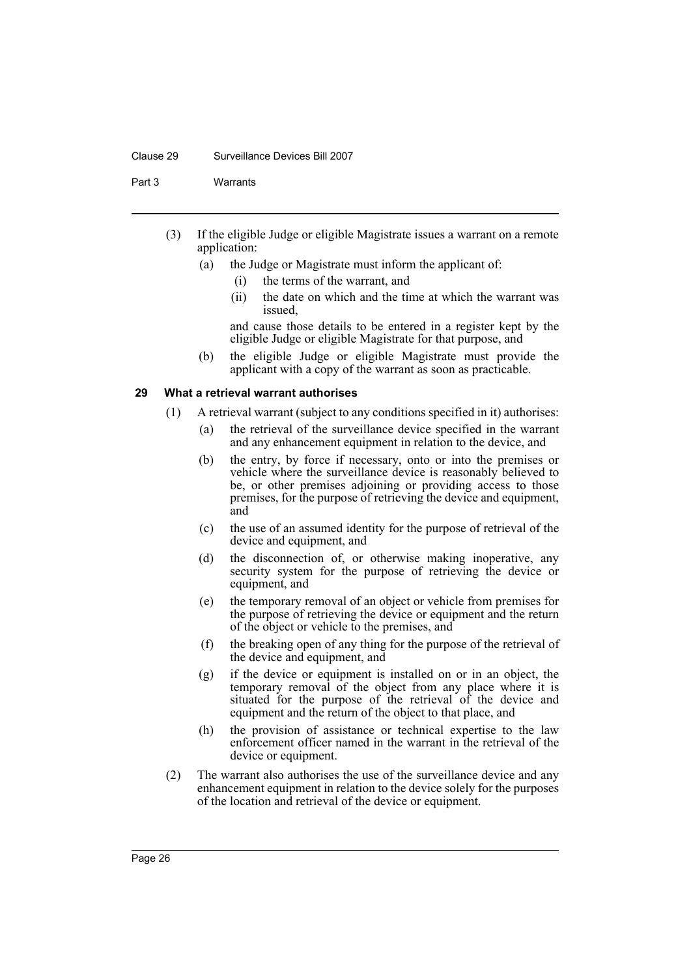#### Clause 29 Surveillance Devices Bill 2007

Part 3 Warrants

- (3) If the eligible Judge or eligible Magistrate issues a warrant on a remote application:
	- (a) the Judge or Magistrate must inform the applicant of:
		- (i) the terms of the warrant, and
		- (ii) the date on which and the time at which the warrant was issued,

and cause those details to be entered in a register kept by the eligible Judge or eligible Magistrate for that purpose, and

(b) the eligible Judge or eligible Magistrate must provide the applicant with a copy of the warrant as soon as practicable.

# <span id="page-29-0"></span>**29 What a retrieval warrant authorises**

- (1) A retrieval warrant (subject to any conditions specified in it) authorises:
	- (a) the retrieval of the surveillance device specified in the warrant and any enhancement equipment in relation to the device, and
	- (b) the entry, by force if necessary, onto or into the premises or vehicle where the surveillance device is reasonably believed to be, or other premises adjoining or providing access to those premises, for the purpose of retrieving the device and equipment, and
	- (c) the use of an assumed identity for the purpose of retrieval of the device and equipment, and
	- (d) the disconnection of, or otherwise making inoperative, any security system for the purpose of retrieving the device or equipment, and
	- (e) the temporary removal of an object or vehicle from premises for the purpose of retrieving the device or equipment and the return of the object or vehicle to the premises, and
	- (f) the breaking open of any thing for the purpose of the retrieval of the device and equipment, and
	- (g) if the device or equipment is installed on or in an object, the temporary removal of the object from any place where it is situated for the purpose of the retrieval of the device and equipment and the return of the object to that place, and
	- (h) the provision of assistance or technical expertise to the law enforcement officer named in the warrant in the retrieval of the device or equipment.
- (2) The warrant also authorises the use of the surveillance device and any enhancement equipment in relation to the device solely for the purposes of the location and retrieval of the device or equipment.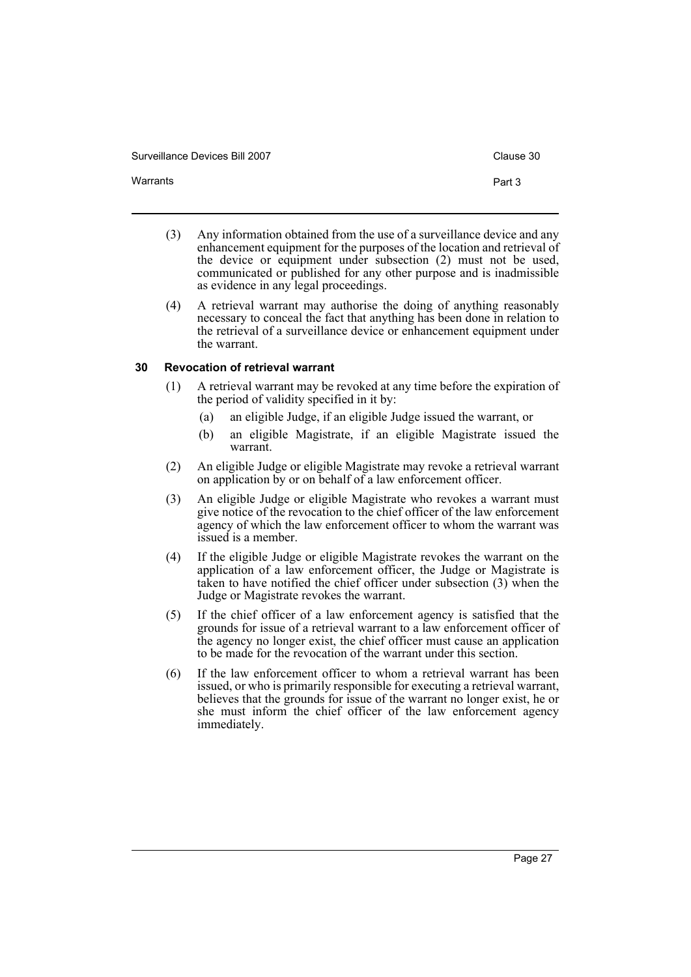Warrants **Part 3** 

- (3) Any information obtained from the use of a surveillance device and any enhancement equipment for the purposes of the location and retrieval of the device or equipment under subsection (2) must not be used, communicated or published for any other purpose and is inadmissible as evidence in any legal proceedings.
- (4) A retrieval warrant may authorise the doing of anything reasonably necessary to conceal the fact that anything has been done in relation to the retrieval of a surveillance device or enhancement equipment under the warrant.

# <span id="page-30-0"></span>**30 Revocation of retrieval warrant**

- (1) A retrieval warrant may be revoked at any time before the expiration of the period of validity specified in it by:
	- (a) an eligible Judge, if an eligible Judge issued the warrant, or
	- (b) an eligible Magistrate, if an eligible Magistrate issued the warrant.
- (2) An eligible Judge or eligible Magistrate may revoke a retrieval warrant on application by or on behalf of a law enforcement officer.
- (3) An eligible Judge or eligible Magistrate who revokes a warrant must give notice of the revocation to the chief officer of the law enforcement agency of which the law enforcement officer to whom the warrant was issued is a member.
- (4) If the eligible Judge or eligible Magistrate revokes the warrant on the application of a law enforcement officer, the Judge or Magistrate is taken to have notified the chief officer under subsection (3) when the Judge or Magistrate revokes the warrant.
- (5) If the chief officer of a law enforcement agency is satisfied that the grounds for issue of a retrieval warrant to a law enforcement officer of the agency no longer exist, the chief officer must cause an application to be made for the revocation of the warrant under this section.
- (6) If the law enforcement officer to whom a retrieval warrant has been issued, or who is primarily responsible for executing a retrieval warrant, believes that the grounds for issue of the warrant no longer exist, he or she must inform the chief officer of the law enforcement agency immediately.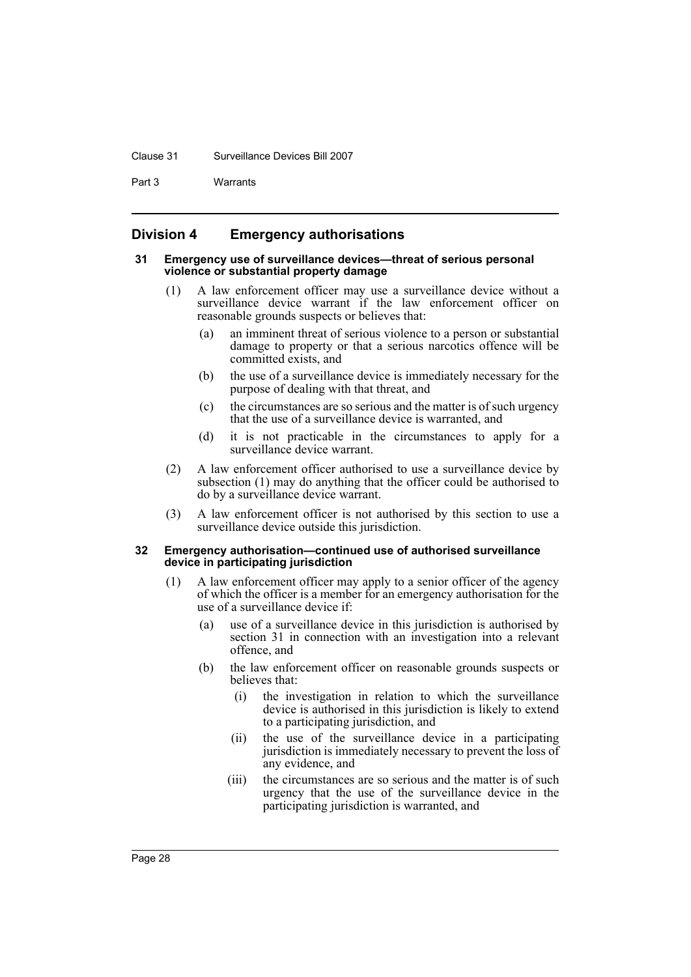#### Clause 31 Surveillance Devices Bill 2007

Part 3 Warrants

# <span id="page-31-0"></span>**Division 4 Emergency authorisations**

#### <span id="page-31-1"></span>**31 Emergency use of surveillance devices—threat of serious personal violence or substantial property damage**

- (1) A law enforcement officer may use a surveillance device without a surveillance device warrant if the law enforcement officer on reasonable grounds suspects or believes that:
	- (a) an imminent threat of serious violence to a person or substantial damage to property or that a serious narcotics offence will be committed exists, and
	- (b) the use of a surveillance device is immediately necessary for the purpose of dealing with that threat, and
	- (c) the circumstances are so serious and the matter is of such urgency that the use of a surveillance device is warranted, and
	- (d) it is not practicable in the circumstances to apply for a surveillance device warrant.
- (2) A law enforcement officer authorised to use a surveillance device by subsection (1) may do anything that the officer could be authorised to do by a surveillance device warrant.
- (3) A law enforcement officer is not authorised by this section to use a surveillance device outside this jurisdiction.

#### <span id="page-31-2"></span>**32 Emergency authorisation—continued use of authorised surveillance device in participating jurisdiction**

- (1) A law enforcement officer may apply to a senior officer of the agency of which the officer is a member for an emergency authorisation for the use of a surveillance device if:
	- (a) use of a surveillance device in this jurisdiction is authorised by section 31 in connection with an investigation into a relevant offence, and
	- (b) the law enforcement officer on reasonable grounds suspects or believes that:
		- (i) the investigation in relation to which the surveillance device is authorised in this jurisdiction is likely to extend to a participating jurisdiction, and
		- (ii) the use of the surveillance device in a participating jurisdiction is immediately necessary to prevent the loss of any evidence, and
		- (iii) the circumstances are so serious and the matter is of such urgency that the use of the surveillance device in the participating jurisdiction is warranted, and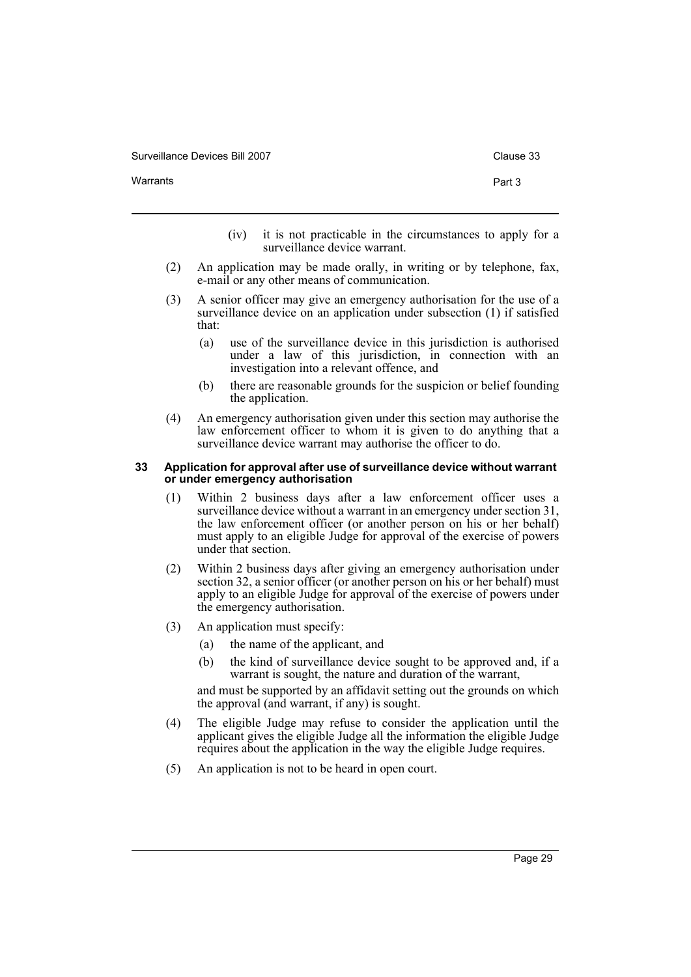Warrants **Part 3** 

- (iv) it is not practicable in the circumstances to apply for a surveillance device warrant.
- (2) An application may be made orally, in writing or by telephone, fax, e-mail or any other means of communication.
- (3) A senior officer may give an emergency authorisation for the use of a surveillance device on an application under subsection (1) if satisfied that:
	- (a) use of the surveillance device in this jurisdiction is authorised under a law of this jurisdiction, in connection with an investigation into a relevant offence, and
	- (b) there are reasonable grounds for the suspicion or belief founding the application.
- (4) An emergency authorisation given under this section may authorise the law enforcement officer to whom it is given to do anything that a surveillance device warrant may authorise the officer to do.

#### <span id="page-32-0"></span>**33 Application for approval after use of surveillance device without warrant or under emergency authorisation**

- (1) Within 2 business days after a law enforcement officer uses a surveillance device without a warrant in an emergency under section 31, the law enforcement officer (or another person on his or her behalf) must apply to an eligible Judge for approval of the exercise of powers under that section.
- (2) Within 2 business days after giving an emergency authorisation under section 32, a senior officer (or another person on his or her behalf) must apply to an eligible Judge for approval of the exercise of powers under the emergency authorisation.
- (3) An application must specify:
	- (a) the name of the applicant, and
	- (b) the kind of surveillance device sought to be approved and, if a warrant is sought, the nature and duration of the warrant,

and must be supported by an affidavit setting out the grounds on which the approval (and warrant, if any) is sought.

- (4) The eligible Judge may refuse to consider the application until the applicant gives the eligible Judge all the information the eligible Judge requires about the application in the way the eligible Judge requires.
- (5) An application is not to be heard in open court.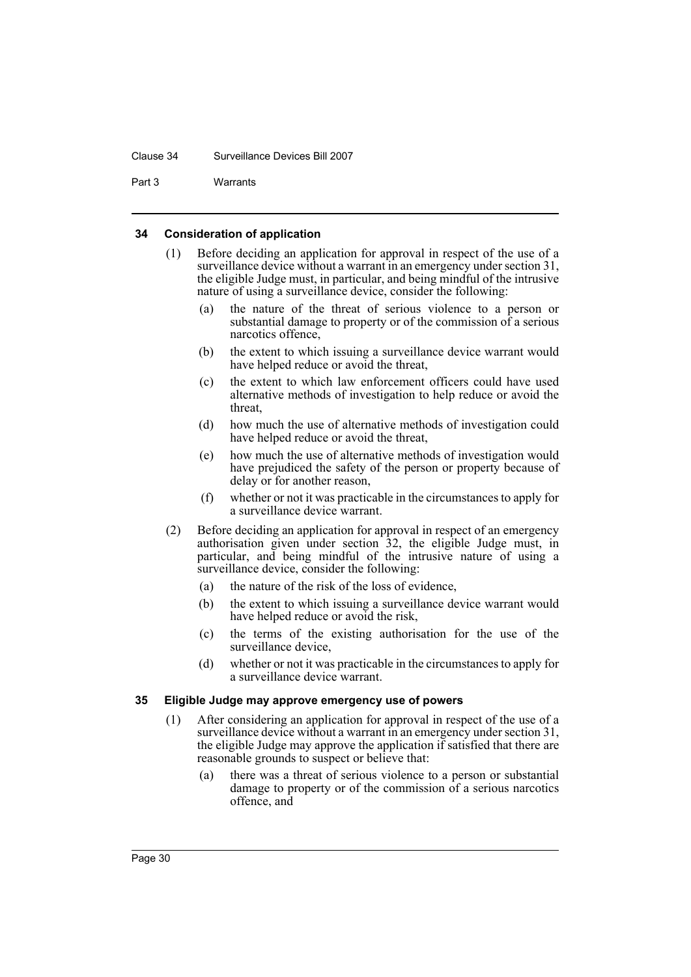#### Clause 34 Surveillance Devices Bill 2007

Part 3 Warrants

# <span id="page-33-0"></span>**34 Consideration of application**

- (1) Before deciding an application for approval in respect of the use of a surveillance device without a warrant in an emergency under section 31, the eligible Judge must, in particular, and being mindful of the intrusive nature of using a surveillance device, consider the following:
	- (a) the nature of the threat of serious violence to a person or substantial damage to property or of the commission of a serious narcotics offence,
	- (b) the extent to which issuing a surveillance device warrant would have helped reduce or avoid the threat,
	- (c) the extent to which law enforcement officers could have used alternative methods of investigation to help reduce or avoid the threat,
	- (d) how much the use of alternative methods of investigation could have helped reduce or avoid the threat,
	- (e) how much the use of alternative methods of investigation would have prejudiced the safety of the person or property because of delay or for another reason,
	- (f) whether or not it was practicable in the circumstances to apply for a surveillance device warrant.
- (2) Before deciding an application for approval in respect of an emergency authorisation given under section 32, the eligible Judge must, in particular, and being mindful of the intrusive nature of using a surveillance device, consider the following:
	- (a) the nature of the risk of the loss of evidence,
	- (b) the extent to which issuing a surveillance device warrant would have helped reduce or avoid the risk,
	- (c) the terms of the existing authorisation for the use of the surveillance device,
	- (d) whether or not it was practicable in the circumstances to apply for a surveillance device warrant.

# <span id="page-33-1"></span>**35 Eligible Judge may approve emergency use of powers**

- (1) After considering an application for approval in respect of the use of a surveillance device without a warrant in an emergency under section 31, the eligible Judge may approve the application if satisfied that there are reasonable grounds to suspect or believe that:
	- (a) there was a threat of serious violence to a person or substantial damage to property or of the commission of a serious narcotics offence, and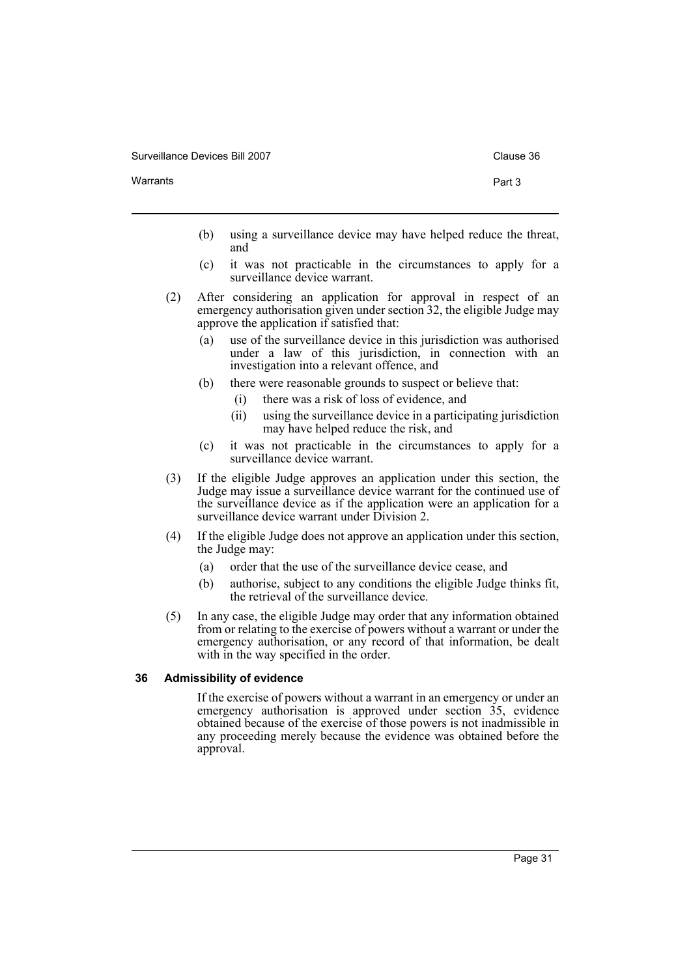Warrants **Part 3** 

- (b) using a surveillance device may have helped reduce the threat, and
- (c) it was not practicable in the circumstances to apply for a surveillance device warrant.
- (2) After considering an application for approval in respect of an emergency authorisation given under section 32, the eligible Judge may approve the application if satisfied that:
	- (a) use of the surveillance device in this jurisdiction was authorised under a law of this jurisdiction, in connection with an investigation into a relevant offence, and
	- (b) there were reasonable grounds to suspect or believe that:
		- (i) there was a risk of loss of evidence, and
		- (ii) using the surveillance device in a participating jurisdiction may have helped reduce the risk, and
	- (c) it was not practicable in the circumstances to apply for a surveillance device warrant.
- (3) If the eligible Judge approves an application under this section, the Judge may issue a surveillance device warrant for the continued use of the surveillance device as if the application were an application for a surveillance device warrant under Division 2.
- (4) If the eligible Judge does not approve an application under this section, the Judge may:
	- (a) order that the use of the surveillance device cease, and
	- (b) authorise, subject to any conditions the eligible Judge thinks fit, the retrieval of the surveillance device.
- (5) In any case, the eligible Judge may order that any information obtained from or relating to the exercise of powers without a warrant or under the emergency authorisation, or any record of that information, be dealt with in the way specified in the order.

# <span id="page-34-0"></span>**36 Admissibility of evidence**

If the exercise of powers without a warrant in an emergency or under an emergency authorisation is approved under section 35, evidence obtained because of the exercise of those powers is not inadmissible in any proceeding merely because the evidence was obtained before the approval.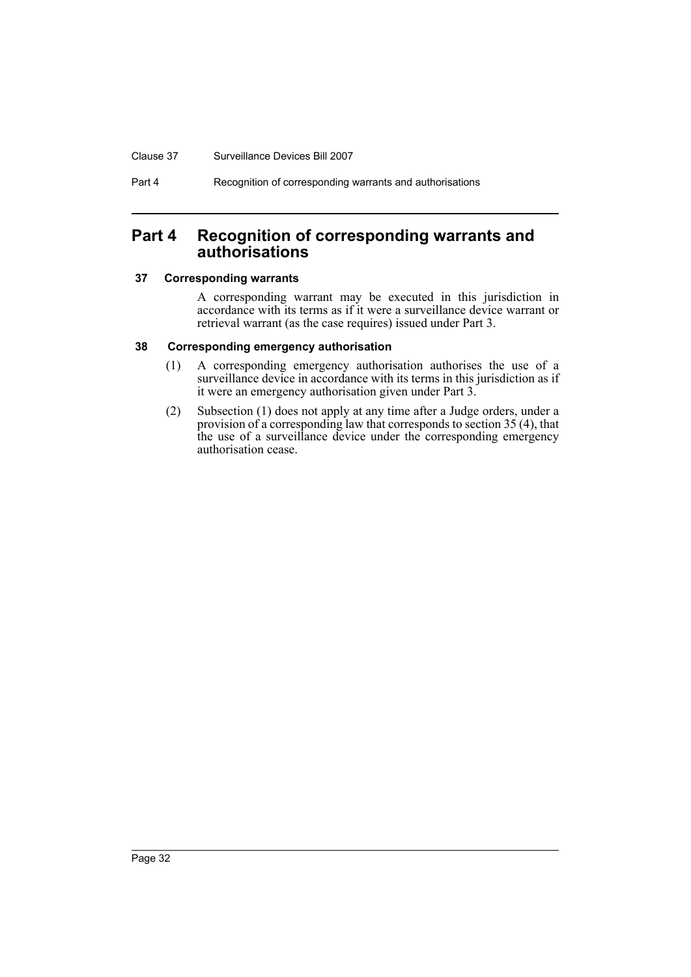#### Clause 37 Surveillance Devices Bill 2007

Part 4 Recognition of corresponding warrants and authorisations

# <span id="page-35-0"></span>**Part 4 Recognition of corresponding warrants and authorisations**

# <span id="page-35-1"></span>**37 Corresponding warrants**

A corresponding warrant may be executed in this jurisdiction in accordance with its terms as if it were a surveillance device warrant or retrieval warrant (as the case requires) issued under Part 3.

#### <span id="page-35-2"></span>**38 Corresponding emergency authorisation**

- (1) A corresponding emergency authorisation authorises the use of a surveillance device in accordance with its terms in this jurisdiction as if it were an emergency authorisation given under Part 3.
- (2) Subsection (1) does not apply at any time after a Judge orders, under a provision of a corresponding law that corresponds to section 35 (4), that the use of a surveillance device under the corresponding emergency authorisation cease.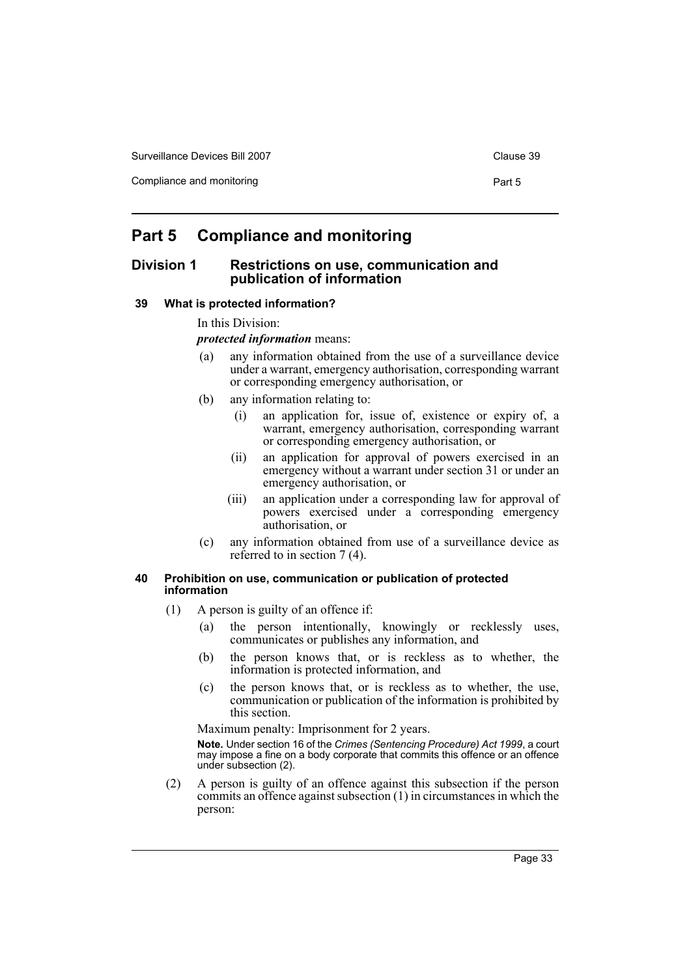Compliance and monitoring example of the compliance and monitoring example of the Part 5

# <span id="page-36-0"></span>**Part 5 Compliance and monitoring**

# <span id="page-36-1"></span>**Division 1 Restrictions on use, communication and publication of information**

# <span id="page-36-2"></span>**39 What is protected information?**

In this Division:

*protected information* means:

- (a) any information obtained from the use of a surveillance device under a warrant, emergency authorisation, corresponding warrant or corresponding emergency authorisation, or
- (b) any information relating to:
	- (i) an application for, issue of, existence or expiry of, a warrant, emergency authorisation, corresponding warrant or corresponding emergency authorisation, or
	- (ii) an application for approval of powers exercised in an emergency without a warrant under section 31 or under an emergency authorisation, or
	- (iii) an application under a corresponding law for approval of powers exercised under a corresponding emergency authorisation, or
- (c) any information obtained from use of a surveillance device as referred to in section 7 (4).

# <span id="page-36-3"></span>**40 Prohibition on use, communication or publication of protected information**

- (1) A person is guilty of an offence if:
	- (a) the person intentionally, knowingly or recklessly uses, communicates or publishes any information, and
	- (b) the person knows that, or is reckless as to whether, the information is protected information, and
	- (c) the person knows that, or is reckless as to whether, the use, communication or publication of the information is prohibited by this section.

Maximum penalty: Imprisonment for 2 years.

**Note.** Under section 16 of the *Crimes (Sentencing Procedure) Act 1999*, a court may impose a fine on a body corporate that commits this offence or an offence under subsection (2).

(2) A person is guilty of an offence against this subsection if the person commits an offence against subsection (1) in circumstances in which the person: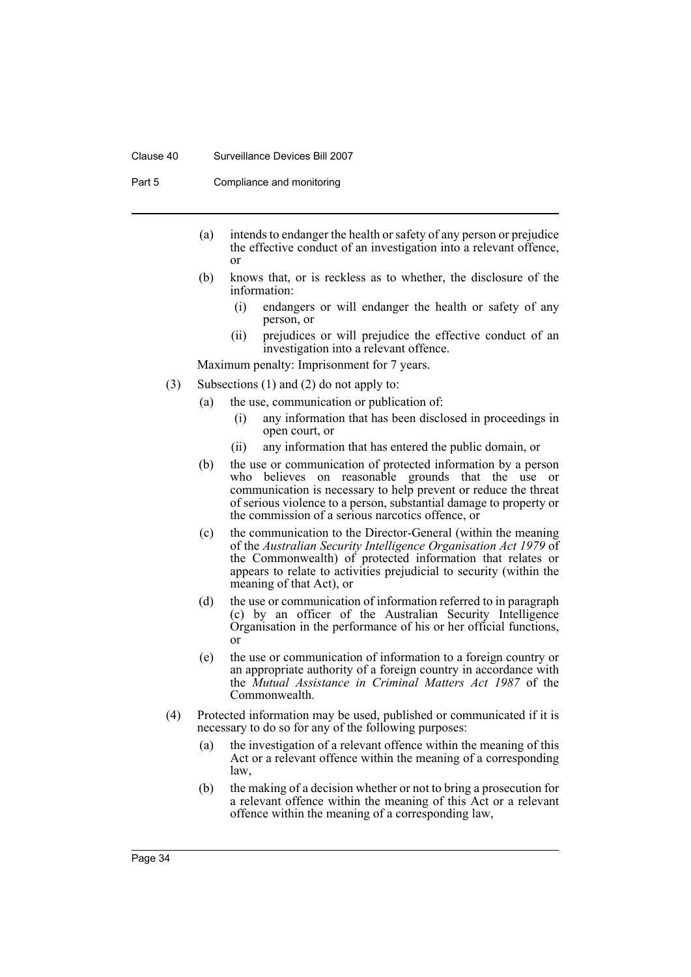#### Clause 40 Surveillance Devices Bill 2007

Part 5 Compliance and monitoring

- (a) intends to endanger the health or safety of any person or prejudice the effective conduct of an investigation into a relevant offence, or
- (b) knows that, or is reckless as to whether, the disclosure of the information:
	- (i) endangers or will endanger the health or safety of any person, or
	- (ii) prejudices or will prejudice the effective conduct of an investigation into a relevant offence.

Maximum penalty: Imprisonment for 7 years.

- (3) Subsections (1) and (2) do not apply to:
	- (a) the use, communication or publication of:
		- (i) any information that has been disclosed in proceedings in open court, or
		- (ii) any information that has entered the public domain, or
	- (b) the use or communication of protected information by a person who believes on reasonable grounds that the use or communication is necessary to help prevent or reduce the threat of serious violence to a person, substantial damage to property or the commission of a serious narcotics offence, or
	- (c) the communication to the Director-General (within the meaning of the *Australian Security Intelligence Organisation Act 1979* of the Commonwealth) of protected information that relates or appears to relate to activities prejudicial to security (within the meaning of that Act), or
	- (d) the use or communication of information referred to in paragraph (c) by an officer of the Australian Security Intelligence Organisation in the performance of his or her official functions, or
	- (e) the use or communication of information to a foreign country or an appropriate authority of a foreign country in accordance with the *Mutual Assistance in Criminal Matters Act 1987* of the Commonwealth.
- (4) Protected information may be used, published or communicated if it is necessary to do so for any of the following purposes:
	- (a) the investigation of a relevant offence within the meaning of this Act or a relevant offence within the meaning of a corresponding law,
	- (b) the making of a decision whether or not to bring a prosecution for a relevant offence within the meaning of this Act or a relevant offence within the meaning of a corresponding law,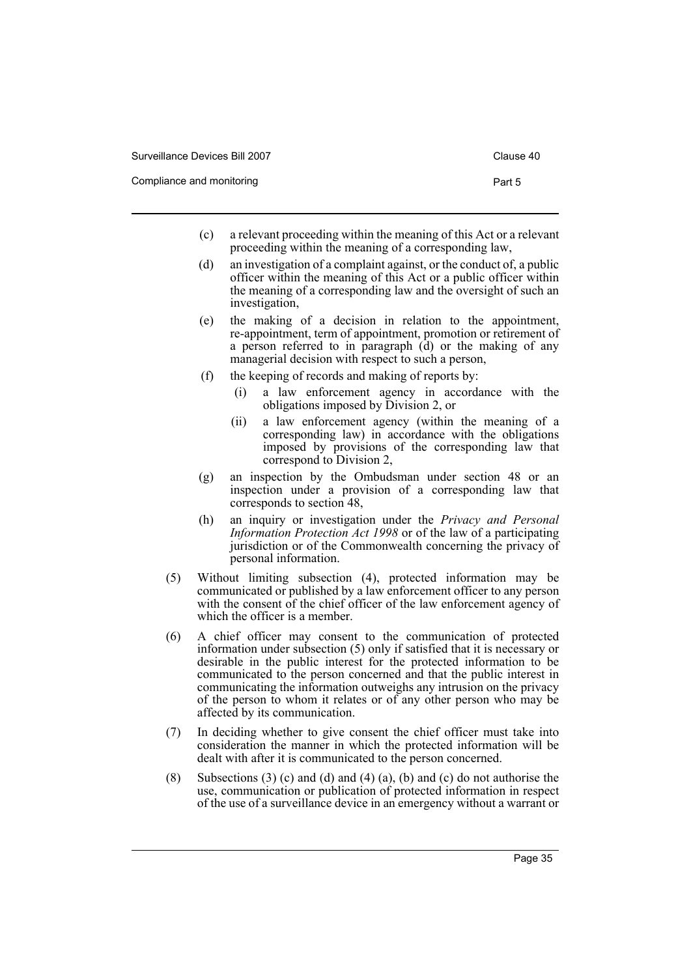Compliance and monitoring example of the compliance and monitoring example of the Part 5

- (c) a relevant proceeding within the meaning of this Act or a relevant proceeding within the meaning of a corresponding law,
- (d) an investigation of a complaint against, or the conduct of, a public officer within the meaning of this Act or a public officer within the meaning of a corresponding law and the oversight of such an investigation,
- (e) the making of a decision in relation to the appointment, re-appointment, term of appointment, promotion or retirement of a person referred to in paragraph (d) or the making of any managerial decision with respect to such a person,
- (f) the keeping of records and making of reports by:
	- (i) a law enforcement agency in accordance with the obligations imposed by Division 2, or
	- (ii) a law enforcement agency (within the meaning of a corresponding law) in accordance with the obligations imposed by provisions of the corresponding law that correspond to Division 2,
- (g) an inspection by the Ombudsman under section 48 or an inspection under a provision of a corresponding law that corresponds to section 48,
- (h) an inquiry or investigation under the *Privacy and Personal Information Protection Act 1998* or of the law of a participating jurisdiction or of the Commonwealth concerning the privacy of personal information.
- (5) Without limiting subsection (4), protected information may be communicated or published by a law enforcement officer to any person with the consent of the chief officer of the law enforcement agency of which the officer is a member.
- (6) A chief officer may consent to the communication of protected information under subsection (5) only if satisfied that it is necessary or desirable in the public interest for the protected information to be communicated to the person concerned and that the public interest in communicating the information outweighs any intrusion on the privacy of the person to whom it relates or of any other person who may be affected by its communication.
- (7) In deciding whether to give consent the chief officer must take into consideration the manner in which the protected information will be dealt with after it is communicated to the person concerned.
- (8) Subsections (3) (c) and (d) and (4) (a), (b) and (c) do not authorise the use, communication or publication of protected information in respect of the use of a surveillance device in an emergency without a warrant or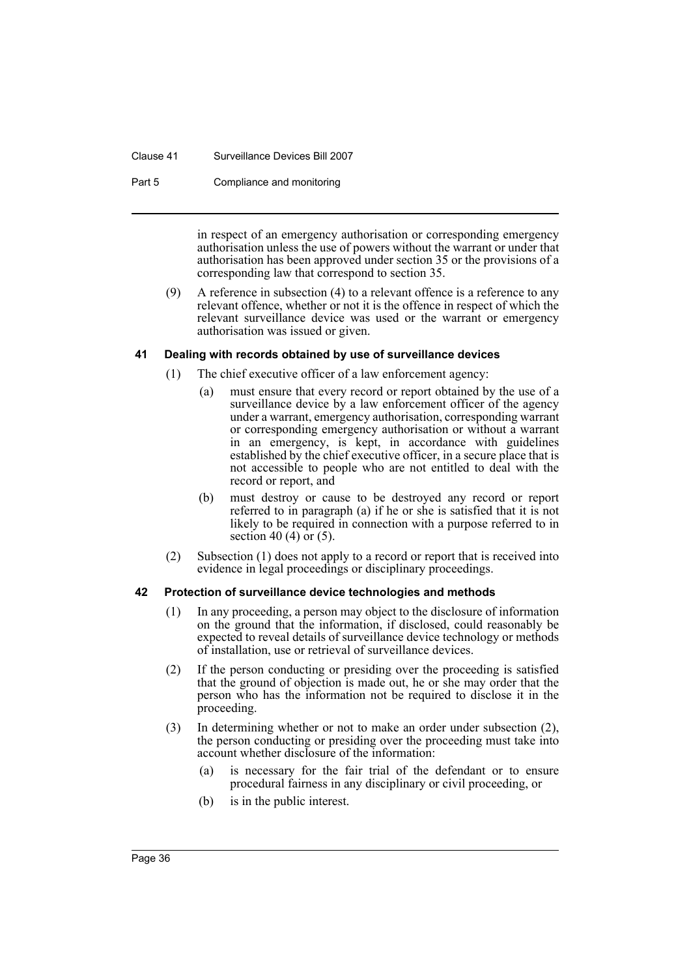#### Clause 41 Surveillance Devices Bill 2007

Part 5 Compliance and monitoring

in respect of an emergency authorisation or corresponding emergency authorisation unless the use of powers without the warrant or under that authorisation has been approved under section 35 or the provisions of a corresponding law that correspond to section 35.

(9) A reference in subsection (4) to a relevant offence is a reference to any relevant offence, whether or not it is the offence in respect of which the relevant surveillance device was used or the warrant or emergency authorisation was issued or given.

# <span id="page-39-0"></span>**41 Dealing with records obtained by use of surveillance devices**

- (1) The chief executive officer of a law enforcement agency:
	- (a) must ensure that every record or report obtained by the use of a surveillance device by a law enforcement officer of the agency under a warrant, emergency authorisation, corresponding warrant or corresponding emergency authorisation or without a warrant in an emergency, is kept, in accordance with guidelines established by the chief executive officer, in a secure place that is not accessible to people who are not entitled to deal with the record or report, and
	- (b) must destroy or cause to be destroyed any record or report referred to in paragraph (a) if he or she is satisfied that it is not likely to be required in connection with a purpose referred to in section 40 (4) or (5).
- (2) Subsection (1) does not apply to a record or report that is received into evidence in legal proceedings or disciplinary proceedings.

# <span id="page-39-1"></span>**42 Protection of surveillance device technologies and methods**

- (1) In any proceeding, a person may object to the disclosure of information on the ground that the information, if disclosed, could reasonably be expected to reveal details of surveillance device technology or methods of installation, use or retrieval of surveillance devices.
- (2) If the person conducting or presiding over the proceeding is satisfied that the ground of objection is made out, he or she may order that the person who has the information not be required to disclose it in the proceeding.
- (3) In determining whether or not to make an order under subsection (2), the person conducting or presiding over the proceeding must take into account whether disclosure of the information:
	- (a) is necessary for the fair trial of the defendant or to ensure procedural fairness in any disciplinary or civil proceeding, or
	- (b) is in the public interest.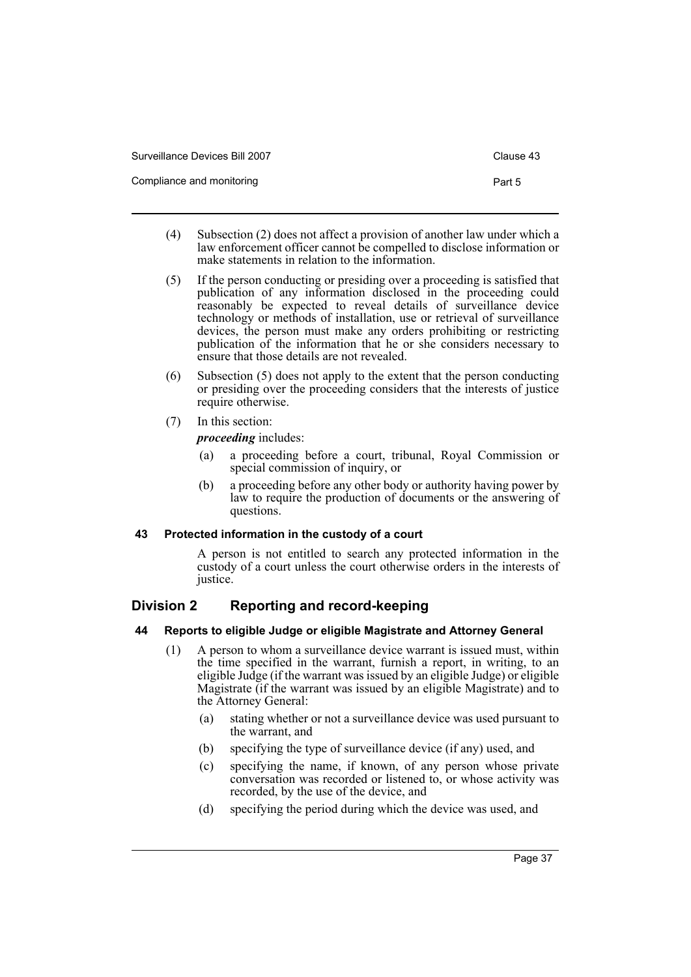| Surveillance Devices Bill 2007 | Clause 43 |
|--------------------------------|-----------|
| Compliance and monitoring      | Part 5    |

- (4) Subsection (2) does not affect a provision of another law under which a law enforcement officer cannot be compelled to disclose information or make statements in relation to the information.
- (5) If the person conducting or presiding over a proceeding is satisfied that publication of any information disclosed in the proceeding could reasonably be expected to reveal details of surveillance device technology or methods of installation, use or retrieval of surveillance devices, the person must make any orders prohibiting or restricting publication of the information that he or she considers necessary to ensure that those details are not revealed.
- (6) Subsection (5) does not apply to the extent that the person conducting or presiding over the proceeding considers that the interests of justice require otherwise.
- (7) In this section:

*proceeding* includes:

- (a) a proceeding before a court, tribunal, Royal Commission or special commission of inquiry, or
- (b) a proceeding before any other body or authority having power by law to require the production of documents or the answering of questions.

# <span id="page-40-0"></span>**43 Protected information in the custody of a court**

A person is not entitled to search any protected information in the custody of a court unless the court otherwise orders in the interests of justice.

# <span id="page-40-1"></span>**Division 2 Reporting and record-keeping**

# <span id="page-40-2"></span>**44 Reports to eligible Judge or eligible Magistrate and Attorney General**

- (1) A person to whom a surveillance device warrant is issued must, within the time specified in the warrant, furnish a report, in writing, to an eligible Judge (if the warrant was issued by an eligible Judge) or eligible Magistrate (if the warrant was issued by an eligible Magistrate) and to the Attorney General:
	- (a) stating whether or not a surveillance device was used pursuant to the warrant, and
	- (b) specifying the type of surveillance device (if any) used, and
	- (c) specifying the name, if known, of any person whose private conversation was recorded or listened to, or whose activity was recorded, by the use of the device, and
	- (d) specifying the period during which the device was used, and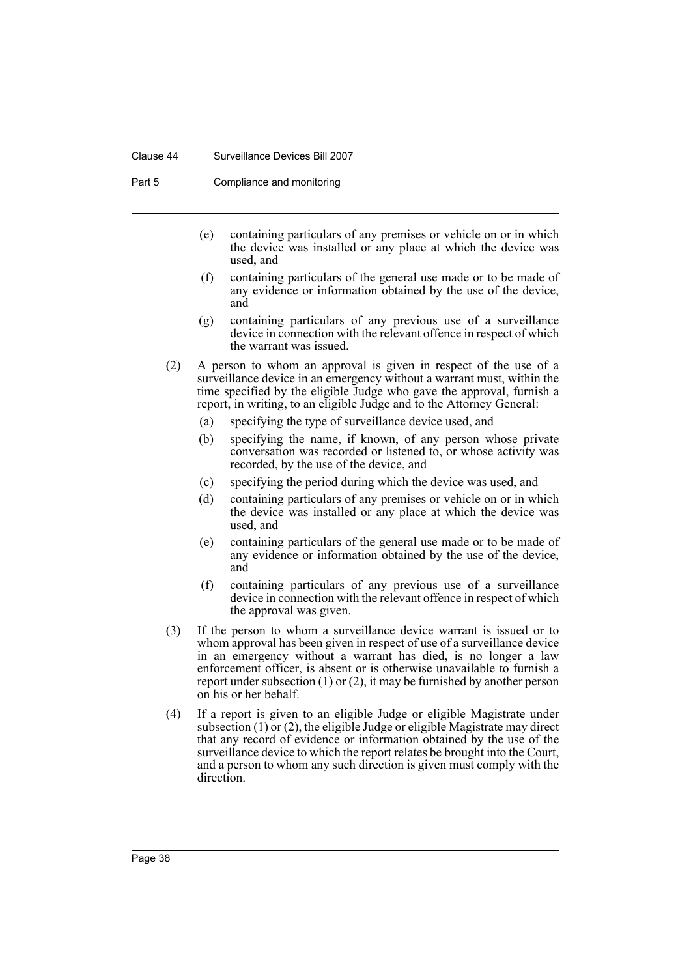#### Clause 44 Surveillance Devices Bill 2007

Part 5 Compliance and monitoring

- (e) containing particulars of any premises or vehicle on or in which the device was installed or any place at which the device was used, and
- (f) containing particulars of the general use made or to be made of any evidence or information obtained by the use of the device, and
- (g) containing particulars of any previous use of a surveillance device in connection with the relevant offence in respect of which the warrant was issued.
- (2) A person to whom an approval is given in respect of the use of a surveillance device in an emergency without a warrant must, within the time specified by the eligible Judge who gave the approval, furnish a report, in writing, to an eligible Judge and to the Attorney General:
	- (a) specifying the type of surveillance device used, and
	- (b) specifying the name, if known, of any person whose private conversation was recorded or listened to, or whose activity was recorded, by the use of the device, and
	- (c) specifying the period during which the device was used, and
	- (d) containing particulars of any premises or vehicle on or in which the device was installed or any place at which the device was used, and
	- (e) containing particulars of the general use made or to be made of any evidence or information obtained by the use of the device, and
	- (f) containing particulars of any previous use of a surveillance device in connection with the relevant offence in respect of which the approval was given.
- (3) If the person to whom a surveillance device warrant is issued or to whom approval has been given in respect of use of a surveillance device in an emergency without a warrant has died, is no longer a law enforcement officer, is absent or is otherwise unavailable to furnish a report under subsection (1) or (2), it may be furnished by another person on his or her behalf.
- (4) If a report is given to an eligible Judge or eligible Magistrate under subsection  $(1)$  or  $(2)$ , the eligible Judge or eligible Magistrate may direct that any record of evidence or information obtained by the use of the surveillance device to which the report relates be brought into the Court, and a person to whom any such direction is given must comply with the direction.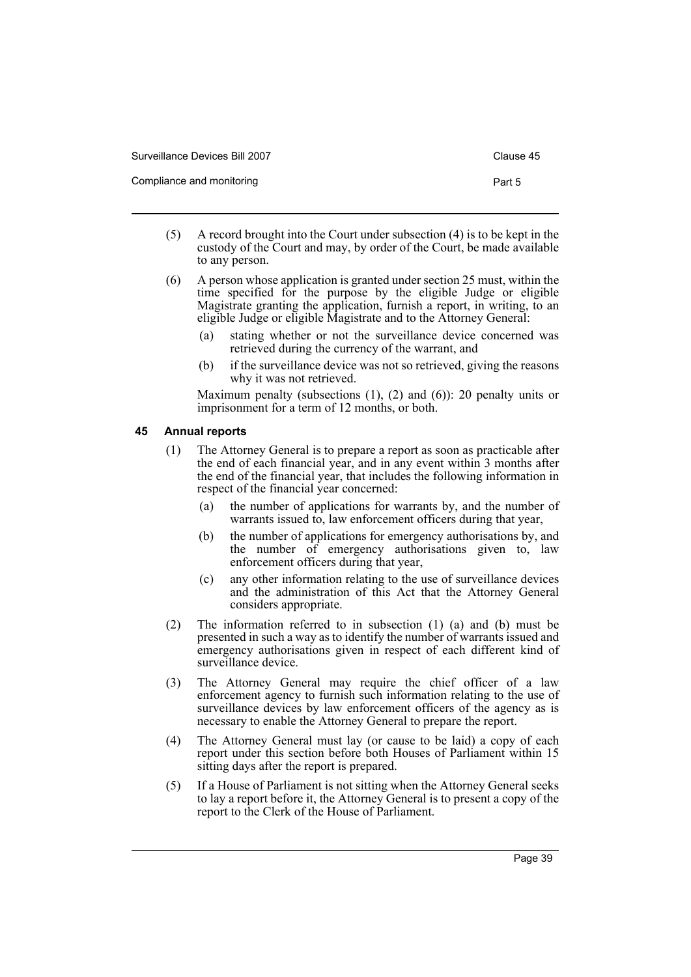| Surveillance Devices Bill 2007 | Clause 45 |
|--------------------------------|-----------|
| Compliance and monitoring      | Part 5    |

- (5) A record brought into the Court under subsection (4) is to be kept in the custody of the Court and may, by order of the Court, be made available to any person.
- (6) A person whose application is granted under section 25 must, within the time specified for the purpose by the eligible Judge or eligible Magistrate granting the application, furnish a report, in writing, to an eligible Judge or eligible Magistrate and to the Attorney General:
	- (a) stating whether or not the surveillance device concerned was retrieved during the currency of the warrant, and
	- (b) if the surveillance device was not so retrieved, giving the reasons why it was not retrieved.

Maximum penalty (subsections (1), (2) and (6)): 20 penalty units or imprisonment for a term of 12 months, or both.

# <span id="page-42-0"></span>**45 Annual reports**

- (1) The Attorney General is to prepare a report as soon as practicable after the end of each financial year, and in any event within 3 months after the end of the financial year, that includes the following information in respect of the financial year concerned:
	- (a) the number of applications for warrants by, and the number of warrants issued to, law enforcement officers during that year,
	- (b) the number of applications for emergency authorisations by, and the number of emergency authorisations given to, law enforcement officers during that year,
	- (c) any other information relating to the use of surveillance devices and the administration of this Act that the Attorney General considers appropriate.
- (2) The information referred to in subsection (1) (a) and (b) must be presented in such a way as to identify the number of warrants issued and emergency authorisations given in respect of each different kind of surveillance device.
- (3) The Attorney General may require the chief officer of a law enforcement agency to furnish such information relating to the use of surveillance devices by law enforcement officers of the agency as is necessary to enable the Attorney General to prepare the report.
- (4) The Attorney General must lay (or cause to be laid) a copy of each report under this section before both Houses of Parliament within 15 sitting days after the report is prepared.
- (5) If a House of Parliament is not sitting when the Attorney General seeks to lay a report before it, the Attorney General is to present a copy of the report to the Clerk of the House of Parliament.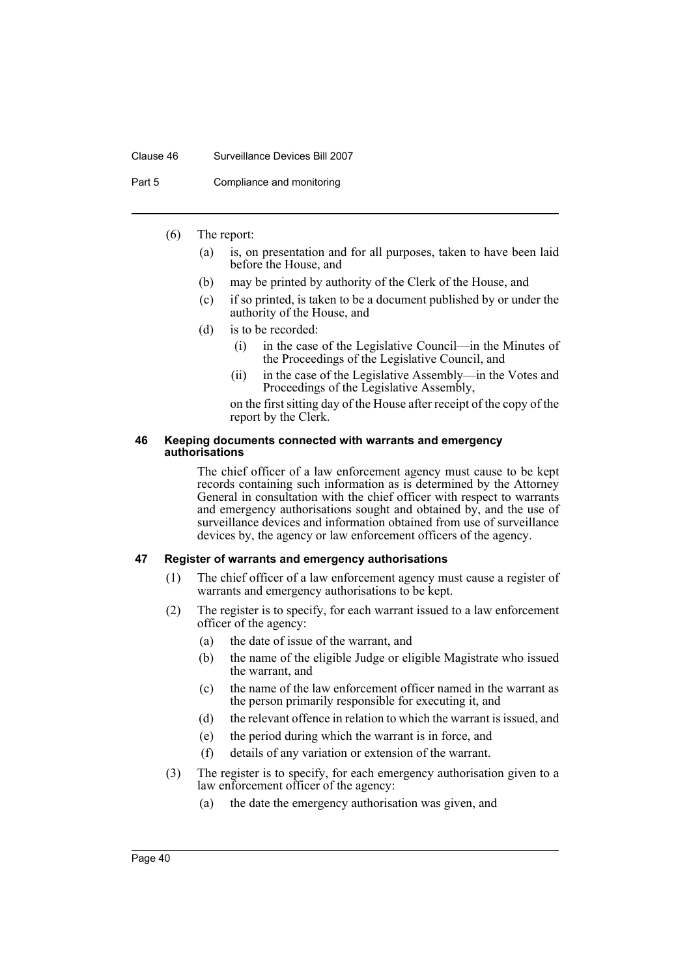#### Clause 46 Surveillance Devices Bill 2007

Part 5 Compliance and monitoring

# (6) The report:

- (a) is, on presentation and for all purposes, taken to have been laid before the House, and
- (b) may be printed by authority of the Clerk of the House, and
- (c) if so printed, is taken to be a document published by or under the authority of the House, and
- (d) is to be recorded:
	- (i) in the case of the Legislative Council—in the Minutes of the Proceedings of the Legislative Council, and
	- (ii) in the case of the Legislative Assembly—in the Votes and Proceedings of the Legislative Assembly,
	- on the first sitting day of the House after receipt of the copy of the report by the Clerk.

#### <span id="page-43-0"></span>**46 Keeping documents connected with warrants and emergency authorisations**

The chief officer of a law enforcement agency must cause to be kept records containing such information as is determined by the Attorney General in consultation with the chief officer with respect to warrants and emergency authorisations sought and obtained by, and the use of surveillance devices and information obtained from use of surveillance devices by, the agency or law enforcement officers of the agency.

# <span id="page-43-1"></span>**47 Register of warrants and emergency authorisations**

- (1) The chief officer of a law enforcement agency must cause a register of warrants and emergency authorisations to be kept.
- (2) The register is to specify, for each warrant issued to a law enforcement officer of the agency:
	- (a) the date of issue of the warrant, and
	- (b) the name of the eligible Judge or eligible Magistrate who issued the warrant, and
	- (c) the name of the law enforcement officer named in the warrant as the person primarily responsible for executing it, and
	- (d) the relevant offence in relation to which the warrant is issued, and
	- (e) the period during which the warrant is in force, and
	- (f) details of any variation or extension of the warrant.
- (3) The register is to specify, for each emergency authorisation given to a law enforcement officer of the agency:
	- (a) the date the emergency authorisation was given, and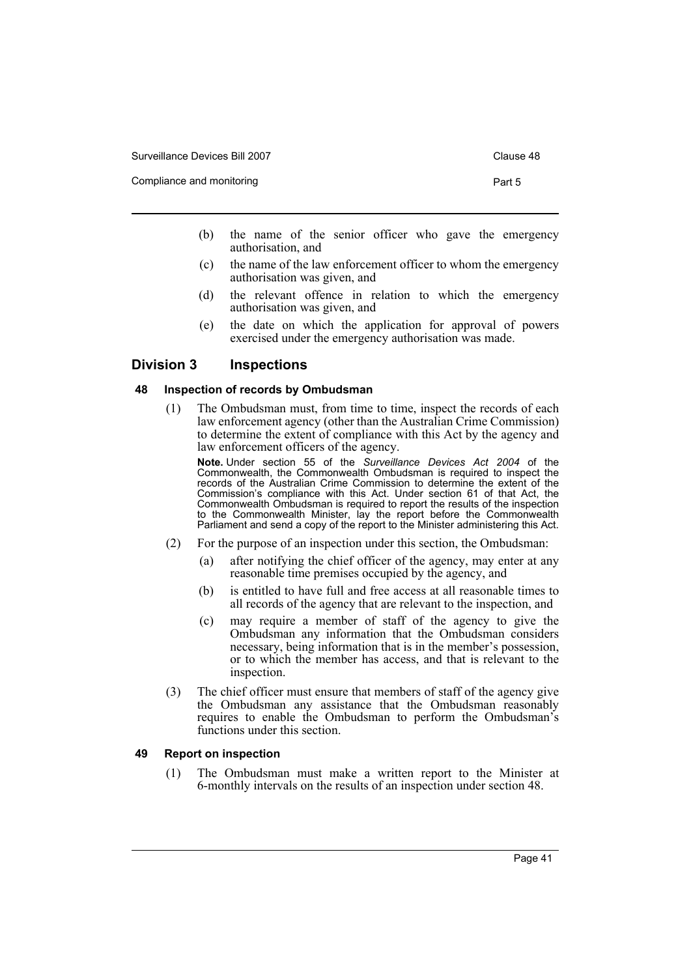Compliance and monitoring **Part 5** and the extent of the extent of the extent of the Part 5

- 
- (b) the name of the senior officer who gave the emergency authorisation, and
- (c) the name of the law enforcement officer to whom the emergency authorisation was given, and
- (d) the relevant offence in relation to which the emergency authorisation was given, and
- (e) the date on which the application for approval of powers exercised under the emergency authorisation was made.

# <span id="page-44-0"></span>**Division 3 Inspections**

# <span id="page-44-1"></span>**48 Inspection of records by Ombudsman**

(1) The Ombudsman must, from time to time, inspect the records of each law enforcement agency (other than the Australian Crime Commission) to determine the extent of compliance with this Act by the agency and law enforcement officers of the agency.

**Note.** Under section 55 of the *Surveillance Devices Act 2004* of the Commonwealth, the Commonwealth Ombudsman is required to inspect the records of the Australian Crime Commission to determine the extent of the Commission's compliance with this Act. Under section 61 of that Act, the Commonwealth Ombudsman is required to report the results of the inspection to the Commonwealth Minister, lay the report before the Commonwealth Parliament and send a copy of the report to the Minister administering this Act.

- (2) For the purpose of an inspection under this section, the Ombudsman:
	- (a) after notifying the chief officer of the agency, may enter at any reasonable time premises occupied by the agency, and
	- (b) is entitled to have full and free access at all reasonable times to all records of the agency that are relevant to the inspection, and
	- (c) may require a member of staff of the agency to give the Ombudsman any information that the Ombudsman considers necessary, being information that is in the member's possession, or to which the member has access, and that is relevant to the inspection.
- (3) The chief officer must ensure that members of staff of the agency give the Ombudsman any assistance that the Ombudsman reasonably requires to enable the Ombudsman to perform the Ombudsman's functions under this section.

# <span id="page-44-2"></span>**49 Report on inspection**

(1) The Ombudsman must make a written report to the Minister at 6-monthly intervals on the results of an inspection under section 48.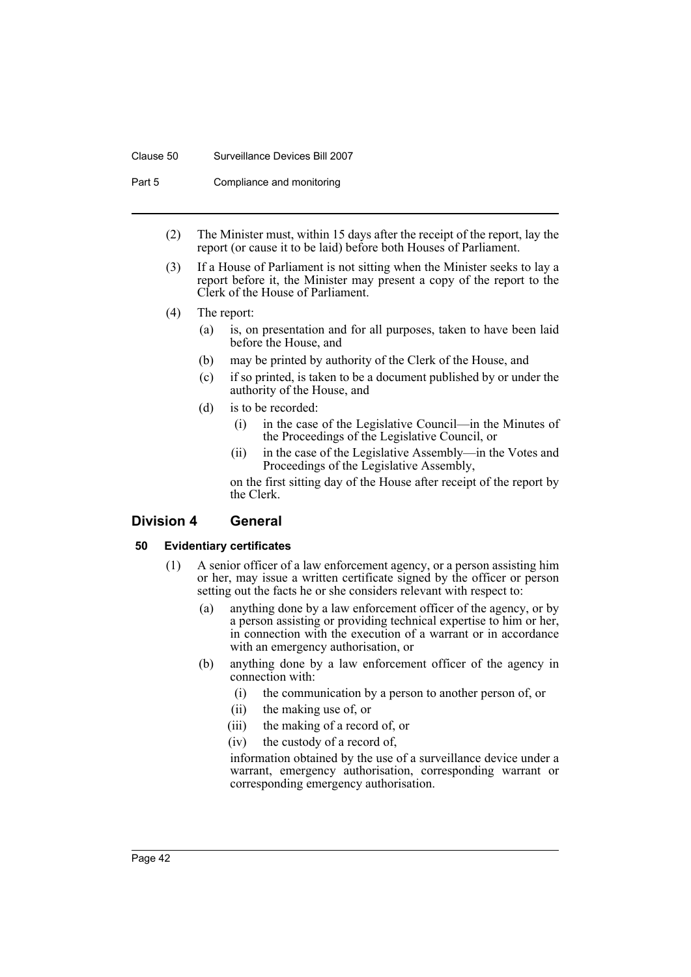#### Clause 50 Surveillance Devices Bill 2007

Part 5 Compliance and monitoring

- (2) The Minister must, within 15 days after the receipt of the report, lay the report (or cause it to be laid) before both Houses of Parliament.
- (3) If a House of Parliament is not sitting when the Minister seeks to lay a report before it, the Minister may present a copy of the report to the Clerk of the House of Parliament.
- (4) The report:
	- (a) is, on presentation and for all purposes, taken to have been laid before the House, and
	- (b) may be printed by authority of the Clerk of the House, and
	- (c) if so printed, is taken to be a document published by or under the authority of the House, and
	- (d) is to be recorded:
		- (i) in the case of the Legislative Council—in the Minutes of the Proceedings of the Legislative Council, or
		- (ii) in the case of the Legislative Assembly—in the Votes and Proceedings of the Legislative Assembly,

on the first sitting day of the House after receipt of the report by the Clerk.

# <span id="page-45-0"></span>**Division 4 General**

# <span id="page-45-1"></span>**50 Evidentiary certificates**

- (1) A senior officer of a law enforcement agency, or a person assisting him or her, may issue a written certificate signed by the officer or person setting out the facts he or she considers relevant with respect to:
	- (a) anything done by a law enforcement officer of the agency, or by a person assisting or providing technical expertise to him or her, in connection with the execution of a warrant or in accordance with an emergency authorisation, or
	- (b) anything done by a law enforcement officer of the agency in connection with:
		- (i) the communication by a person to another person of, or
		- (ii) the making use of, or
		- (iii) the making of a record of, or
		- (iv) the custody of a record of,

information obtained by the use of a surveillance device under a warrant, emergency authorisation, corresponding warrant or corresponding emergency authorisation.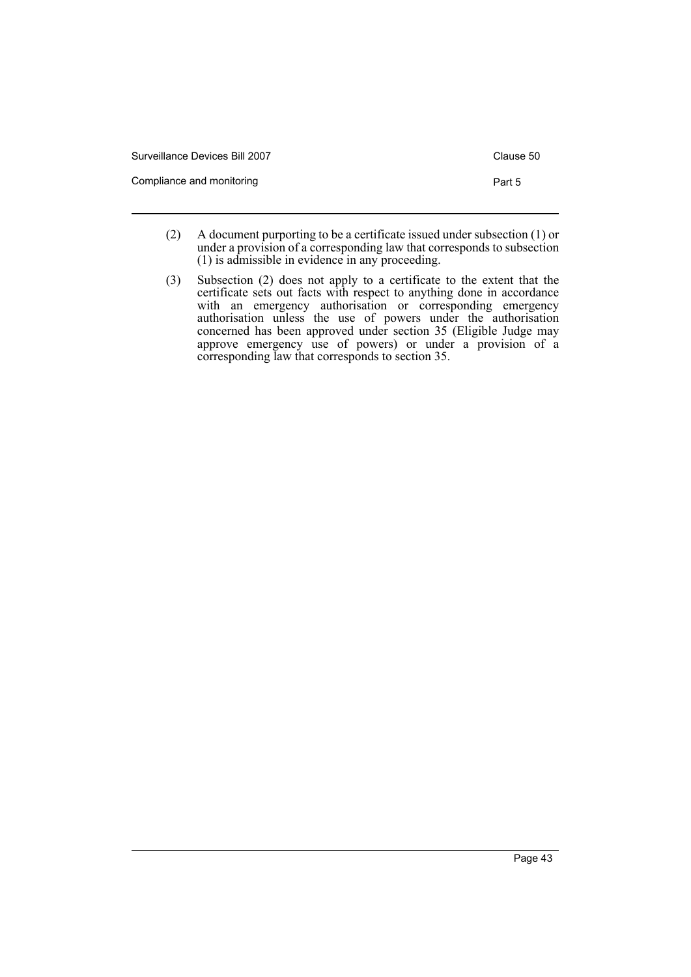| Surveillance Devices Bill 2007 | Clause 50 |
|--------------------------------|-----------|
| Compliance and monitoring      | Part 5    |

- (2) A document purporting to be a certificate issued under subsection (1) or under a provision of a corresponding law that corresponds to subsection (1) is admissible in evidence in any proceeding.
- (3) Subsection (2) does not apply to a certificate to the extent that the certificate sets out facts with respect to anything done in accordance with an emergency authorisation or corresponding emergency authorisation unless the use of powers under the authorisation concerned has been approved under section 35 (Eligible Judge may approve emergency use of powers) or under a provision of a corresponding law that corresponds to section 35.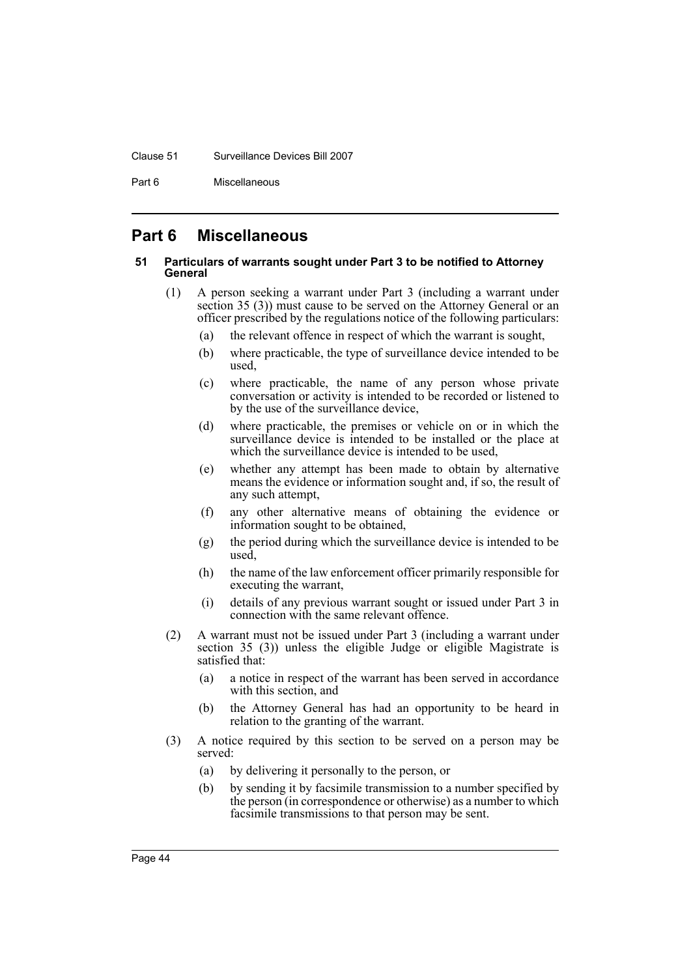#### Clause 51 Surveillance Devices Bill 2007

Part 6 Miscellaneous

# <span id="page-47-0"></span>**Part 6 Miscellaneous**

# <span id="page-47-1"></span>**51 Particulars of warrants sought under Part 3 to be notified to Attorney General**

- (1) A person seeking a warrant under Part 3 (including a warrant under section 35 (3)) must cause to be served on the Attorney General or an officer prescribed by the regulations notice of the following particulars:
	- (a) the relevant offence in respect of which the warrant is sought,
	- (b) where practicable, the type of surveillance device intended to be used,
	- (c) where practicable, the name of any person whose private conversation or activity is intended to be recorded or listened to by the use of the surveillance device,
	- (d) where practicable, the premises or vehicle on or in which the surveillance device is intended to be installed or the place at which the surveillance device is intended to be used,
	- (e) whether any attempt has been made to obtain by alternative means the evidence or information sought and, if so, the result of any such attempt,
	- (f) any other alternative means of obtaining the evidence or information sought to be obtained,
	- (g) the period during which the surveillance device is intended to be used,
	- (h) the name of the law enforcement officer primarily responsible for executing the warrant,
	- (i) details of any previous warrant sought or issued under Part 3 in connection with the same relevant offence.
- (2) A warrant must not be issued under Part 3 (including a warrant under section 35 (3)) unless the eligible Judge or eligible Magistrate is satisfied that:
	- (a) a notice in respect of the warrant has been served in accordance with this section, and
	- (b) the Attorney General has had an opportunity to be heard in relation to the granting of the warrant.
- (3) A notice required by this section to be served on a person may be served:
	- (a) by delivering it personally to the person, or
	- (b) by sending it by facsimile transmission to a number specified by the person (in correspondence or otherwise) as a number to which facsimile transmissions to that person may be sent.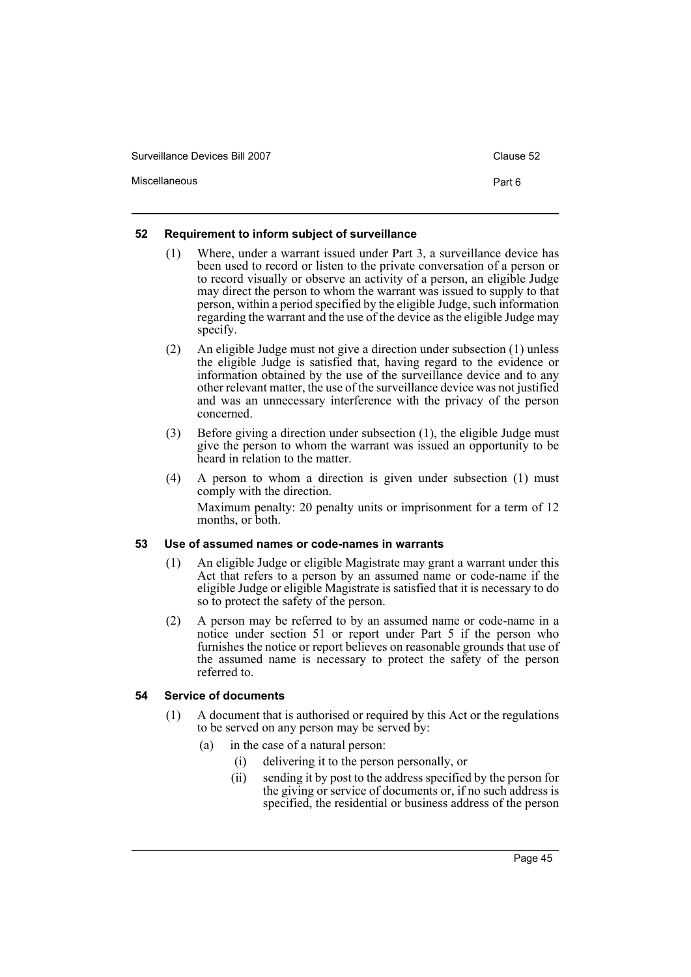Miscellaneous **Part 6** 

# <span id="page-48-0"></span>**52 Requirement to inform subject of surveillance**

- (1) Where, under a warrant issued under Part 3, a surveillance device has been used to record or listen to the private conversation of a person or to record visually or observe an activity of a person, an eligible Judge may direct the person to whom the warrant was issued to supply to that person, within a period specified by the eligible Judge, such information regarding the warrant and the use of the device as the eligible Judge may specify.
- (2) An eligible Judge must not give a direction under subsection (1) unless the eligible Judge is satisfied that, having regard to the evidence or information obtained by the use of the surveillance device and to any other relevant matter, the use of the surveillance device was not justified and was an unnecessary interference with the privacy of the person concerned.
- (3) Before giving a direction under subsection (1), the eligible Judge must give the person to whom the warrant was issued an opportunity to be heard in relation to the matter.
- (4) A person to whom a direction is given under subsection (1) must comply with the direction. Maximum penalty: 20 penalty units or imprisonment for a term of 12 months, or both.

# <span id="page-48-1"></span>**53 Use of assumed names or code-names in warrants**

- (1) An eligible Judge or eligible Magistrate may grant a warrant under this Act that refers to a person by an assumed name or code-name if the eligible Judge or eligible Magistrate is satisfied that it is necessary to do so to protect the safety of the person.
- (2) A person may be referred to by an assumed name or code-name in a notice under section 51 or report under Part 5 if the person who furnishes the notice or report believes on reasonable grounds that use of the assumed name is necessary to protect the safety of the person referred to.

# <span id="page-48-2"></span>**54 Service of documents**

- (1) A document that is authorised or required by this Act or the regulations to be served on any person may be served by:
	- (a) in the case of a natural person:
		- (i) delivering it to the person personally, or
		- (ii) sending it by post to the address specified by the person for the giving or service of documents or, if no such address is specified, the residential or business address of the person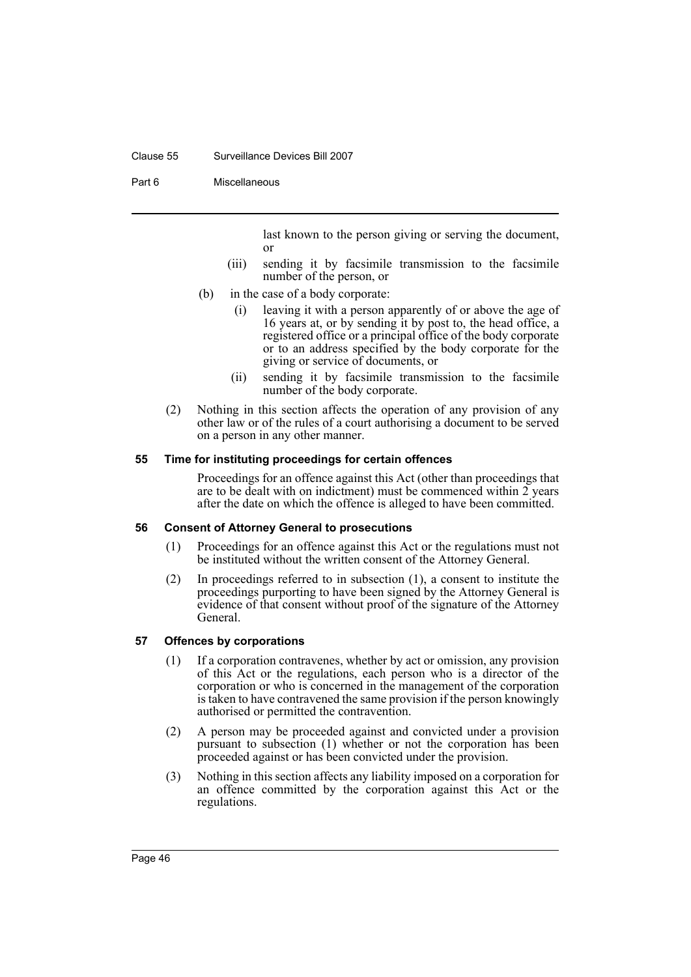#### Clause 55 Surveillance Devices Bill 2007

Part 6 Miscellaneous

last known to the person giving or serving the document, or

- (iii) sending it by facsimile transmission to the facsimile number of the person, or
- (b) in the case of a body corporate:
	- (i) leaving it with a person apparently of or above the age of 16 years at, or by sending it by post to, the head office, a registered office or a principal office of the body corporate or to an address specified by the body corporate for the giving or service of documents, or
	- (ii) sending it by facsimile transmission to the facsimile number of the body corporate.
- (2) Nothing in this section affects the operation of any provision of any other law or of the rules of a court authorising a document to be served on a person in any other manner.

# <span id="page-49-0"></span>**55 Time for instituting proceedings for certain offences**

Proceedings for an offence against this Act (other than proceedings that are to be dealt with on indictment) must be commenced within 2 years after the date on which the offence is alleged to have been committed.

# <span id="page-49-1"></span>**56 Consent of Attorney General to prosecutions**

- (1) Proceedings for an offence against this Act or the regulations must not be instituted without the written consent of the Attorney General.
- (2) In proceedings referred to in subsection (1), a consent to institute the proceedings purporting to have been signed by the Attorney General is evidence of that consent without proof of the signature of the Attorney General.

# <span id="page-49-2"></span>**57 Offences by corporations**

- (1) If a corporation contravenes, whether by act or omission, any provision of this Act or the regulations, each person who is a director of the corporation or who is concerned in the management of the corporation is taken to have contravened the same provision if the person knowingly authorised or permitted the contravention.
- (2) A person may be proceeded against and convicted under a provision pursuant to subsection (1) whether or not the corporation has been proceeded against or has been convicted under the provision.
- (3) Nothing in this section affects any liability imposed on a corporation for an offence committed by the corporation against this Act or the regulations.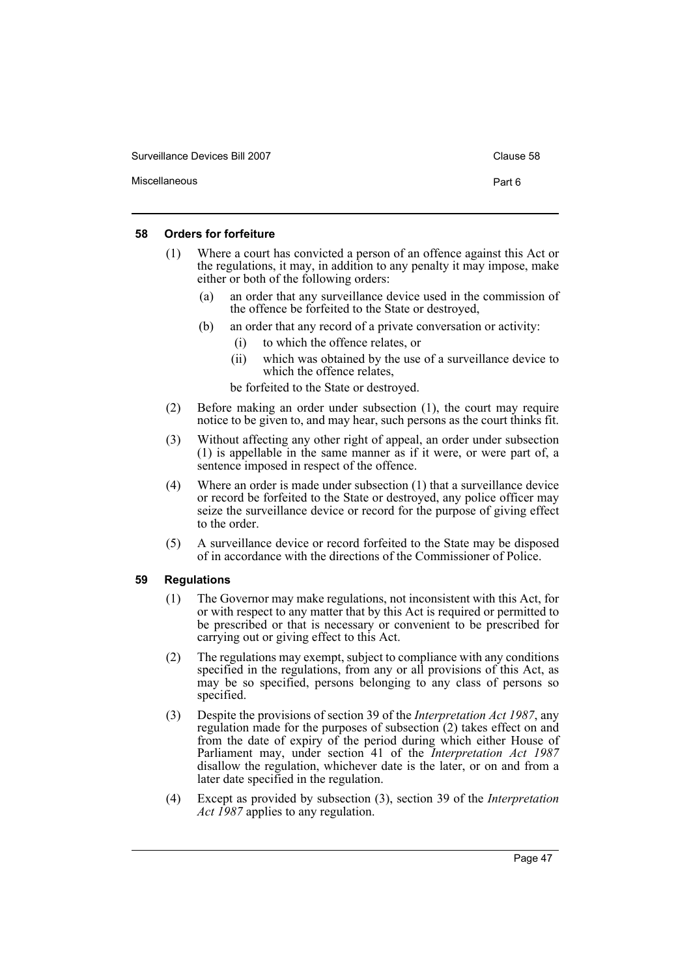| Surveillance Devices Bill 2007 | Clause 58 |
|--------------------------------|-----------|
| Miscellaneous                  | Part 6    |

# <span id="page-50-0"></span>**58 Orders for forfeiture**

- (1) Where a court has convicted a person of an offence against this Act or the regulations, it may, in addition to any penalty it may impose, make either or both of the following orders:
	- an order that any surveillance device used in the commission of the offence be forfeited to the State or destroyed,
	- (b) an order that any record of a private conversation or activity:
		- (i) to which the offence relates, or
		- (ii) which was obtained by the use of a surveillance device to which the offence relates,

be forfeited to the State or destroyed.

- (2) Before making an order under subsection (1), the court may require notice to be given to, and may hear, such persons as the court thinks fit.
- (3) Without affecting any other right of appeal, an order under subsection (1) is appellable in the same manner as if it were, or were part of, a sentence imposed in respect of the offence.
- (4) Where an order is made under subsection (1) that a surveillance device or record be forfeited to the State or destroyed, any police officer may seize the surveillance device or record for the purpose of giving effect to the order.
- (5) A surveillance device or record forfeited to the State may be disposed of in accordance with the directions of the Commissioner of Police.

# <span id="page-50-1"></span>**59 Regulations**

- (1) The Governor may make regulations, not inconsistent with this Act, for or with respect to any matter that by this Act is required or permitted to be prescribed or that is necessary or convenient to be prescribed for carrying out or giving effect to this Act.
- (2) The regulations may exempt, subject to compliance with any conditions specified in the regulations, from any or all provisions of this Act, as may be so specified, persons belonging to any class of persons so specified.
- (3) Despite the provisions of section 39 of the *Interpretation Act 1987*, any regulation made for the purposes of subsection (2) takes effect on and from the date of expiry of the period during which either House of Parliament may, under section 41 of the *Interpretation Act 1987* disallow the regulation, whichever date is the later, or on and from a later date specified in the regulation.
- (4) Except as provided by subsection (3), section 39 of the *Interpretation Act 1987* applies to any regulation.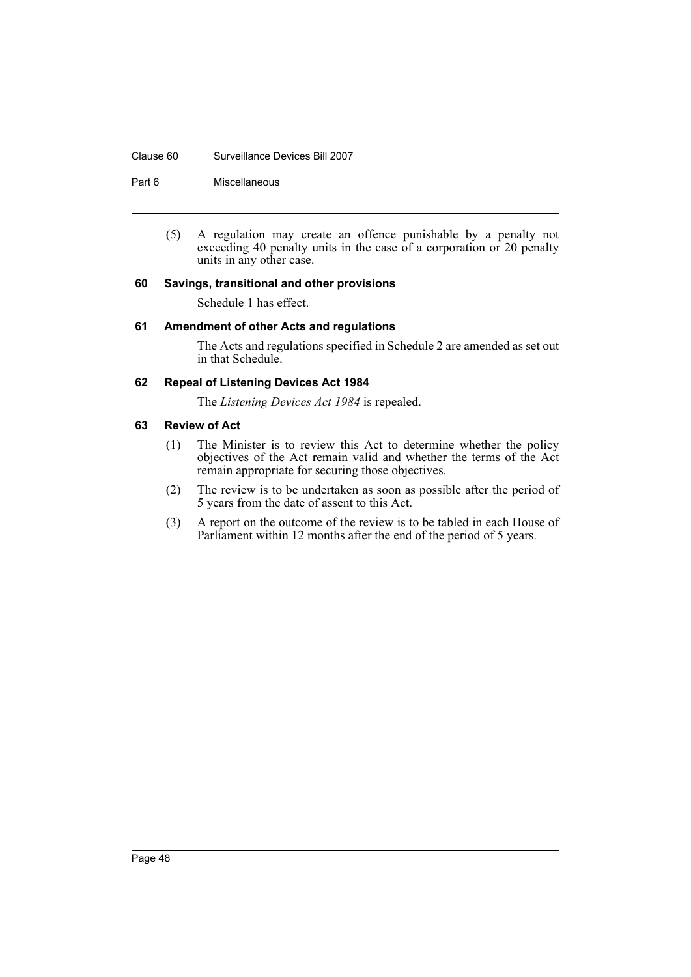#### Clause 60 Surveillance Devices Bill 2007

Part 6 Miscellaneous

(5) A regulation may create an offence punishable by a penalty not exceeding 40 penalty units in the case of a corporation or 20 penalty units in any other case.

# <span id="page-51-0"></span>**60 Savings, transitional and other provisions**

Schedule 1 has effect.

# <span id="page-51-1"></span>**61 Amendment of other Acts and regulations**

The Acts and regulations specified in Schedule 2 are amended as set out in that Schedule.

# <span id="page-51-2"></span>**62 Repeal of Listening Devices Act 1984**

The *Listening Devices Act 1984* is repealed.

# <span id="page-51-3"></span>**63 Review of Act**

- (1) The Minister is to review this Act to determine whether the policy objectives of the Act remain valid and whether the terms of the Act remain appropriate for securing those objectives.
- (2) The review is to be undertaken as soon as possible after the period of 5 years from the date of assent to this Act.
- (3) A report on the outcome of the review is to be tabled in each House of Parliament within 12 months after the end of the period of 5 years.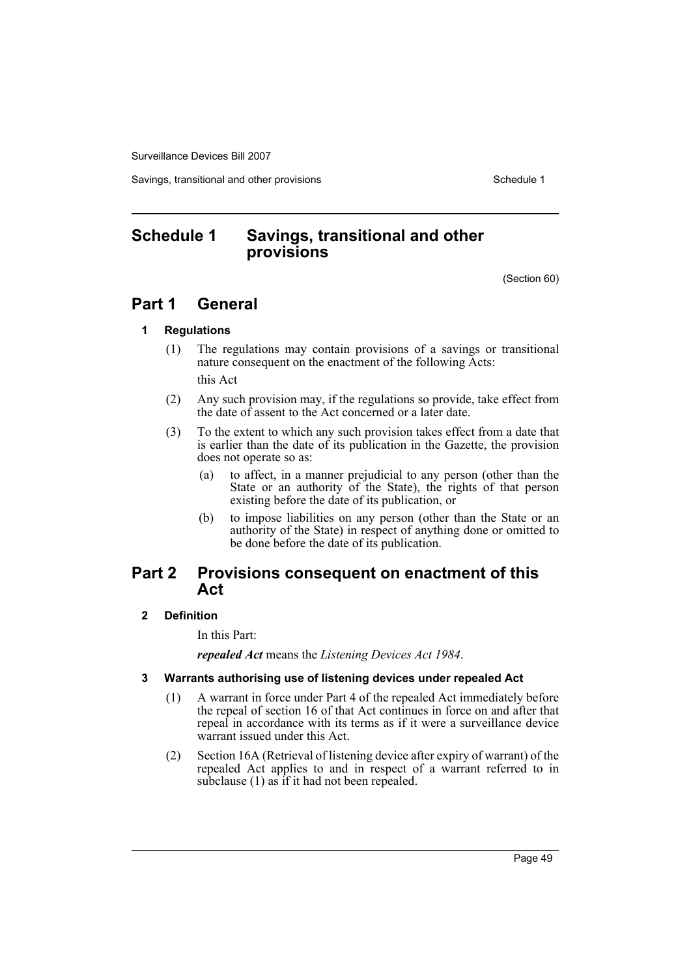Savings, transitional and other provisions Schedule 1 and Schedule 1

# <span id="page-52-0"></span>**Schedule 1 Savings, transitional and other provisions**

(Section 60)

# **Part 1 General**

# **1 Regulations**

(1) The regulations may contain provisions of a savings or transitional nature consequent on the enactment of the following Acts:

this Act

- (2) Any such provision may, if the regulations so provide, take effect from the date of assent to the Act concerned or a later date.
- (3) To the extent to which any such provision takes effect from a date that is earlier than the date of its publication in the Gazette, the provision does not operate so as:
	- (a) to affect, in a manner prejudicial to any person (other than the State or an authority of the State), the rights of that person existing before the date of its publication, or
	- (b) to impose liabilities on any person (other than the State or an authority of the State) in respect of anything done or omitted to be done before the date of its publication.

# **Part 2 Provisions consequent on enactment of this Act**

# **2 Definition**

In this Part:

*repealed Act* means the *Listening Devices Act 1984*.

- **3 Warrants authorising use of listening devices under repealed Act**
	- (1) A warrant in force under Part 4 of the repealed Act immediately before the repeal of section 16 of that Act continues in force on and after that repeal in accordance with its terms as if it were a surveillance device warrant issued under this Act.
	- (2) Section 16A (Retrieval of listening device after expiry of warrant) of the repealed Act applies to and in respect of a warrant referred to in subclause (1) as if it had not been repealed.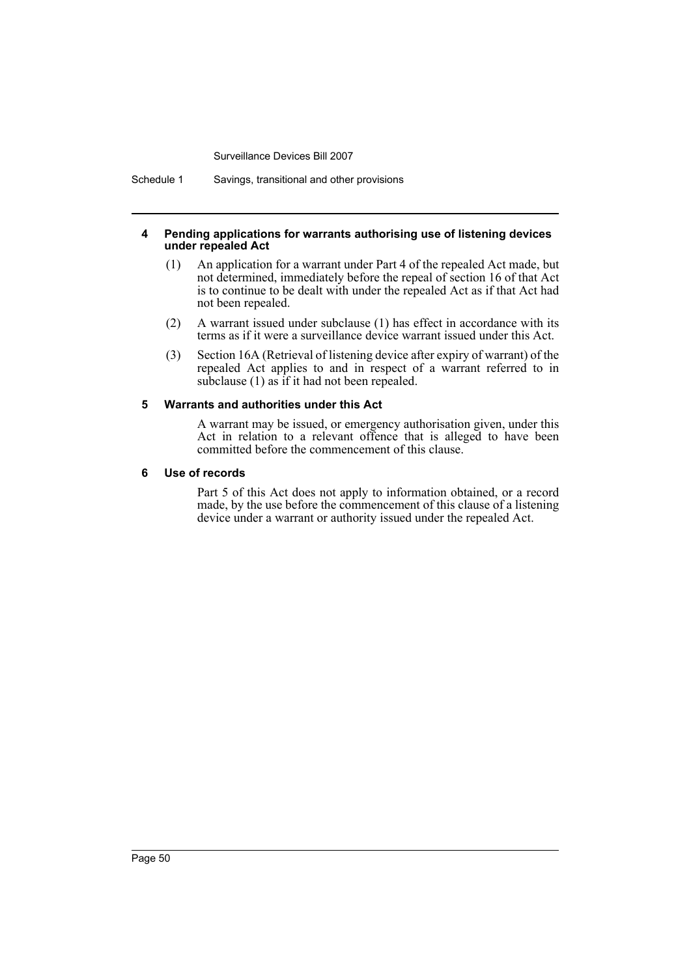Schedule 1 Savings, transitional and other provisions

#### **4 Pending applications for warrants authorising use of listening devices under repealed Act**

- (1) An application for a warrant under Part 4 of the repealed Act made, but not determined, immediately before the repeal of section 16 of that Act is to continue to be dealt with under the repealed Act as if that Act had not been repealed.
- (2) A warrant issued under subclause (1) has effect in accordance with its terms as if it were a surveillance device warrant issued under this Act.
- (3) Section 16A (Retrieval of listening device after expiry of warrant) of the repealed Act applies to and in respect of a warrant referred to in subclause (1) as if it had not been repealed.

# **5 Warrants and authorities under this Act**

A warrant may be issued, or emergency authorisation given, under this Act in relation to a relevant offence that is alleged to have been committed before the commencement of this clause.

# **6 Use of records**

Part 5 of this Act does not apply to information obtained, or a record made, by the use before the commencement of this clause of a listening device under a warrant or authority issued under the repealed Act.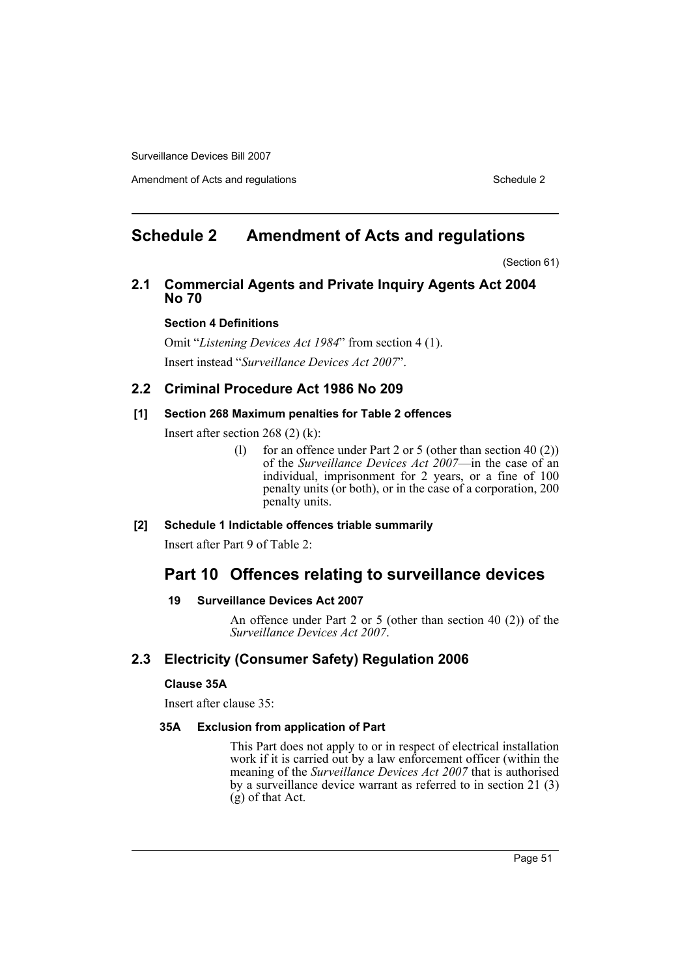Amendment of Acts and regulations Schedule 2

# <span id="page-54-0"></span>**Schedule 2 Amendment of Acts and regulations**

(Section 61)

# **2.1 Commercial Agents and Private Inquiry Agents Act 2004 No 70**

# **Section 4 Definitions**

Omit "*Listening Devices Act 1984*" from section 4 (1). Insert instead "*Surveillance Devices Act 2007*".

# **2.2 Criminal Procedure Act 1986 No 209**

# **[1] Section 268 Maximum penalties for Table 2 offences**

Insert after section 268 (2) (k):

(l) for an offence under Part 2 or 5 (other than section  $40(2)$ ) of the *Surveillance Devices Act 2007*—in the case of an individual, imprisonment for 2 years, or a fine of 100 penalty units (or both), or in the case of a corporation, 200 penalty units.

# **[2] Schedule 1 Indictable offences triable summarily**

Insert after Part 9 of Table 2:

# **Part 10 Offences relating to surveillance devices**

# **19 Surveillance Devices Act 2007**

An offence under Part 2 or 5 (other than section 40 (2)) of the *Surveillance Devices Act 2007*.

# **2.3 Electricity (Consumer Safety) Regulation 2006**

# **Clause 35A**

Insert after clause 35:

# **35A Exclusion from application of Part**

This Part does not apply to or in respect of electrical installation work if it is carried out by a law enforcement officer (within the meaning of the *Surveillance Devices Act 2007* that is authorised by a surveillance device warrant as referred to in section 21 (3) (g) of that Act.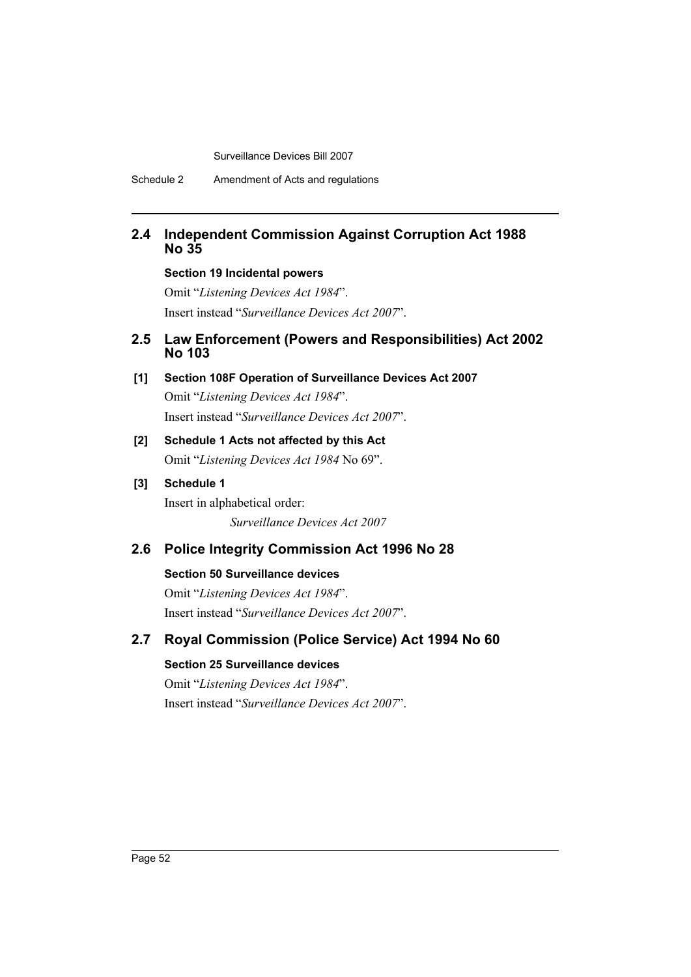# **2.4 Independent Commission Against Corruption Act 1988 No 35**

# **Section 19 Incidental powers**

Omit "*Listening Devices Act 1984*". Insert instead "*Surveillance Devices Act 2007*".

# **2.5 Law Enforcement (Powers and Responsibilities) Act 2002 No 103**

**[1] Section 108F Operation of Surveillance Devices Act 2007** Omit "*Listening Devices Act 1984*".

Insert instead "*Surveillance Devices Act 2007*".

# **[2] Schedule 1 Acts not affected by this Act** Omit "*Listening Devices Act 1984* No 69".

# **[3] Schedule 1**

Insert in alphabetical order: *Surveillance Devices Act 2007*

# **2.6 Police Integrity Commission Act 1996 No 28**

# **Section 50 Surveillance devices**

Omit "*Listening Devices Act 1984*". Insert instead "*Surveillance Devices Act 2007*".

# **2.7 Royal Commission (Police Service) Act 1994 No 60**

# **Section 25 Surveillance devices**

Omit "*Listening Devices Act 1984*". Insert instead "*Surveillance Devices Act 2007*".